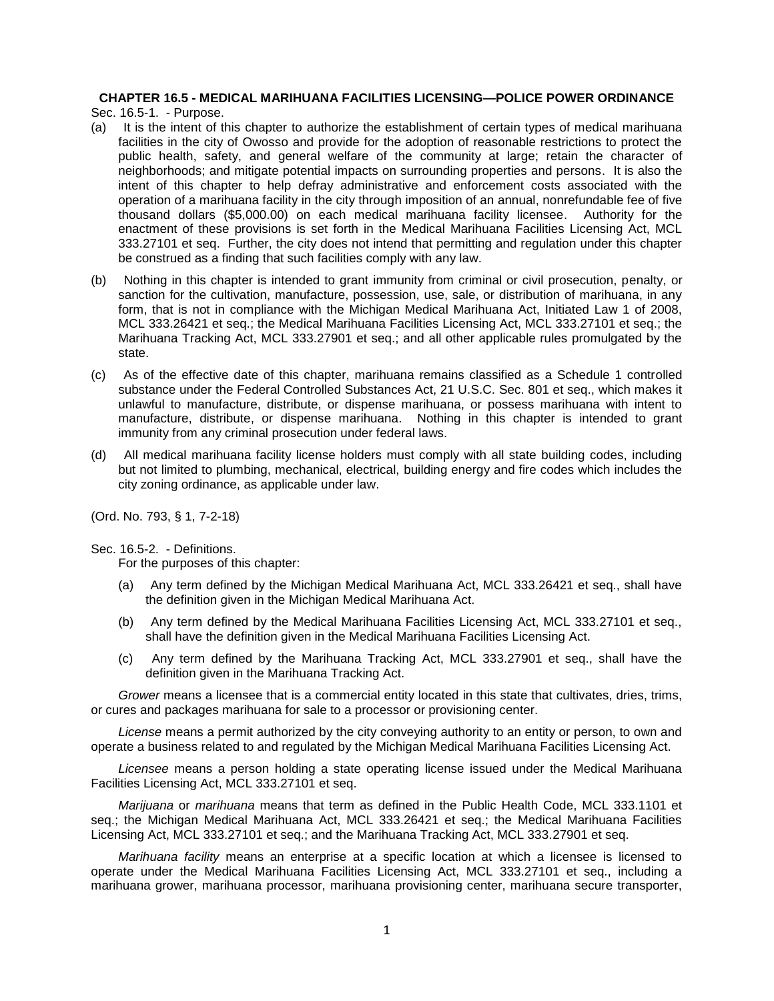# **CHAPTER 16.5 - MEDICAL MARIHUANA FACILITIES LICENSING—POLICE POWER ORDINANCE**

Sec. 16.5-1. - Purpose.

- (a) It is the intent of this chapter to authorize the establishment of certain types of medical marihuana facilities in the city of Owosso and provide for the adoption of reasonable restrictions to protect the public health, safety, and general welfare of the community at large; retain the character of neighborhoods; and mitigate potential impacts on surrounding properties and persons. It is also the intent of this chapter to help defray administrative and enforcement costs associated with the operation of a marihuana facility in the city through imposition of an annual, nonrefundable fee of five thousand dollars (\$5,000.00) on each medical marihuana facility licensee. Authority for the enactment of these provisions is set forth in the Medical Marihuana Facilities Licensing Act, MCL 333.27101 et seq. Further, the city does not intend that permitting and regulation under this chapter be construed as a finding that such facilities comply with any law.
- (b) Nothing in this chapter is intended to grant immunity from criminal or civil prosecution, penalty, or sanction for the cultivation, manufacture, possession, use, sale, or distribution of marihuana, in any form, that is not in compliance with the Michigan Medical Marihuana Act, Initiated Law 1 of 2008, MCL 333.26421 et seq.; the Medical Marihuana Facilities Licensing Act, MCL 333.27101 et seq.; the Marihuana Tracking Act, MCL 333.27901 et seq.; and all other applicable rules promulgated by the state.
- (c) As of the effective date of this chapter, marihuana remains classified as a Schedule 1 controlled substance under the Federal Controlled Substances Act, 21 U.S.C. Sec. 801 et seq., which makes it unlawful to manufacture, distribute, or dispense marihuana, or possess marihuana with intent to manufacture, distribute, or dispense marihuana. Nothing in this chapter is intended to grant immunity from any criminal prosecution under federal laws.
- (d) All medical marihuana facility license holders must comply with all state building codes, including but not limited to plumbing, mechanical, electrical, building energy and fire codes which includes the city zoning ordinance, as applicable under law.

(Ord. No. 793, § 1, 7-2-18)

Sec. 16.5-2. - Definitions.

For the purposes of this chapter:

- (a) Any term defined by the Michigan Medical Marihuana Act, MCL 333.26421 et seq., shall have the definition given in the Michigan Medical Marihuana Act.
- (b) Any term defined by the Medical Marihuana Facilities Licensing Act, MCL 333.27101 et seq., shall have the definition given in the Medical Marihuana Facilities Licensing Act.
- (c) Any term defined by the Marihuana Tracking Act, MCL 333.27901 et seq., shall have the definition given in the Marihuana Tracking Act.

*Grower* means a licensee that is a commercial entity located in this state that cultivates, dries, trims, or cures and packages marihuana for sale to a processor or provisioning center.

*License* means a permit authorized by the city conveying authority to an entity or person, to own and operate a business related to and regulated by the Michigan Medical Marihuana Facilities Licensing Act.

*Licensee* means a person holding a state operating license issued under the Medical Marihuana Facilities Licensing Act, MCL 333.27101 et seq.

*Marijuana* or *marihuana* means that term as defined in the Public Health Code, MCL 333.1101 et seq.; the Michigan Medical Marihuana Act, MCL 333.26421 et seq.; the Medical Marihuana Facilities Licensing Act, MCL 333.27101 et seq.; and the Marihuana Tracking Act, MCL 333.27901 et seq.

*Marihuana facility* means an enterprise at a specific location at which a licensee is licensed to operate under the Medical Marihuana Facilities Licensing Act, MCL 333.27101 et seq., including a marihuana grower, marihuana processor, marihuana provisioning center, marihuana secure transporter,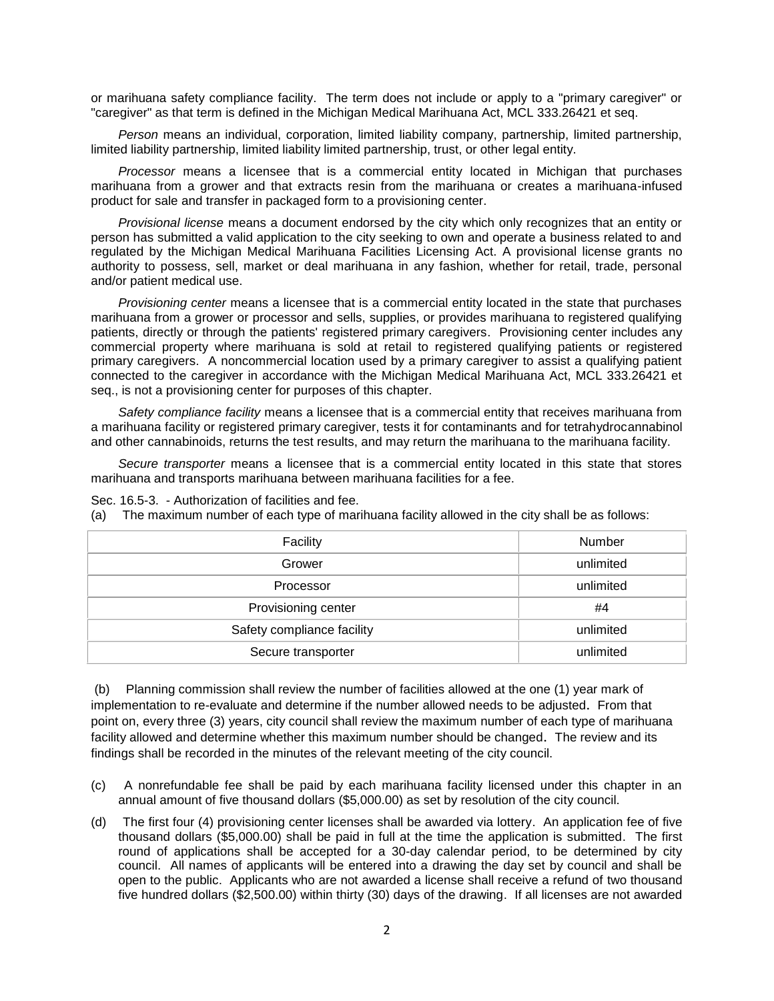or marihuana safety compliance facility. The term does not include or apply to a "primary caregiver" or "caregiver" as that term is defined in the Michigan Medical Marihuana Act, MCL 333.26421 et seq.

*Person* means an individual, corporation, limited liability company, partnership, limited partnership, limited liability partnership, limited liability limited partnership, trust, or other legal entity.

*Processor* means a licensee that is a commercial entity located in Michigan that purchases marihuana from a grower and that extracts resin from the marihuana or creates a marihuana-infused product for sale and transfer in packaged form to a provisioning center.

*Provisional license* means a document endorsed by the city which only recognizes that an entity or person has submitted a valid application to the city seeking to own and operate a business related to and regulated by the Michigan Medical Marihuana Facilities Licensing Act. A provisional license grants no authority to possess, sell, market or deal marihuana in any fashion, whether for retail, trade, personal and/or patient medical use.

*Provisioning center* means a licensee that is a commercial entity located in the state that purchases marihuana from a grower or processor and sells, supplies, or provides marihuana to registered qualifying patients, directly or through the patients' registered primary caregivers. Provisioning center includes any commercial property where marihuana is sold at retail to registered qualifying patients or registered primary caregivers. A noncommercial location used by a primary caregiver to assist a qualifying patient connected to the caregiver in accordance with the Michigan Medical Marihuana Act, MCL 333.26421 et seq., is not a provisioning center for purposes of this chapter.

*Safety compliance facility* means a licensee that is a commercial entity that receives marihuana from a marihuana facility or registered primary caregiver, tests it for contaminants and for tetrahydrocannabinol and other cannabinoids, returns the test results, and may return the marihuana to the marihuana facility.

*Secure transporter* means a licensee that is a commercial entity located in this state that stores marihuana and transports marihuana between marihuana facilities for a fee.

| Facility                   | Number    |
|----------------------------|-----------|
| Grower                     | unlimited |
| Processor                  | unlimited |
| Provisioning center        | #4        |
| Safety compliance facility | unlimited |
| Secure transporter         | unlimited |

Sec. 16.5-3. - Authorization of facilities and fee.

(a) The maximum number of each type of marihuana facility allowed in the city shall be as follows:

(b) Planning commission shall review the number of facilities allowed at the one (1) year mark of implementation to re-evaluate and determine if the number allowed needs to be adjusted. From that point on, every three (3) years, city council shall review the maximum number of each type of marihuana facility allowed and determine whether this maximum number should be changed. The review and its findings shall be recorded in the minutes of the relevant meeting of the city council.

- (c) A nonrefundable fee shall be paid by each marihuana facility licensed under this chapter in an annual amount of five thousand dollars (\$5,000.00) as set by resolution of the city council.
- (d) The first four (4) provisioning center licenses shall be awarded via lottery. An application fee of five thousand dollars (\$5,000.00) shall be paid in full at the time the application is submitted. The first round of applications shall be accepted for a 30-day calendar period, to be determined by city council. All names of applicants will be entered into a drawing the day set by council and shall be open to the public. Applicants who are not awarded a license shall receive a refund of two thousand five hundred dollars (\$2,500.00) within thirty (30) days of the drawing. If all licenses are not awarded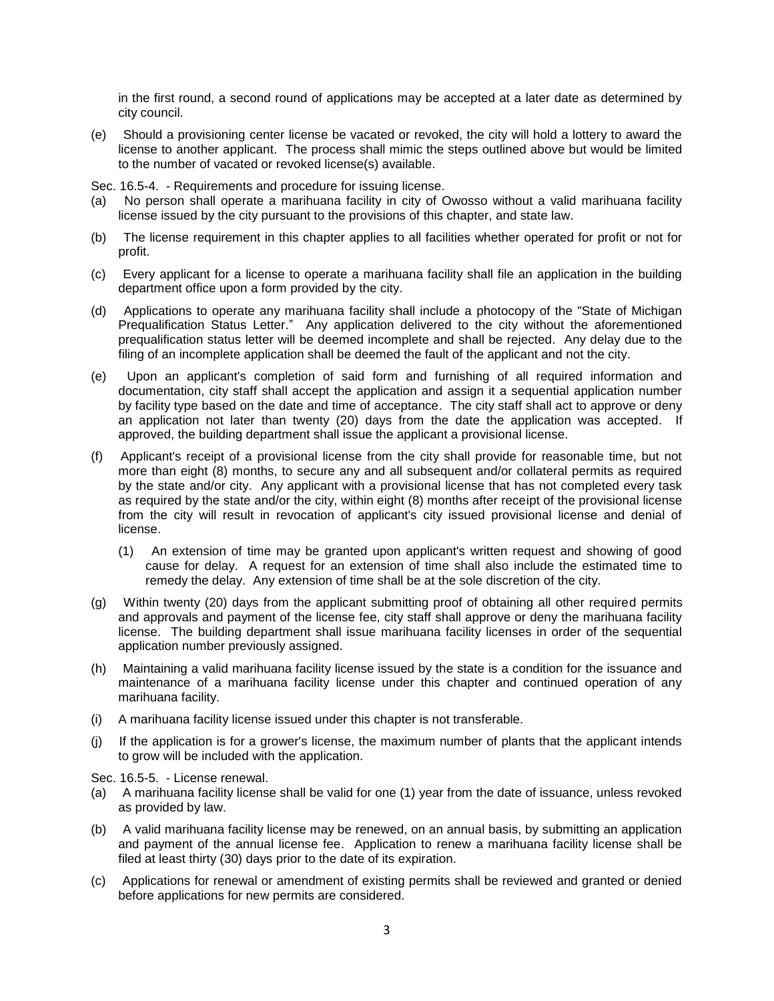in the first round, a second round of applications may be accepted at a later date as determined by city council.

(e) Should a provisioning center license be vacated or revoked, the city will hold a lottery to award the license to another applicant. The process shall mimic the steps outlined above but would be limited to the number of vacated or revoked license(s) available.

Sec. 16.5-4. - Requirements and procedure for issuing license.

- (a) No person shall operate a marihuana facility in city of Owosso without a valid marihuana facility license issued by the city pursuant to the provisions of this chapter, and state law.
- (b) The license requirement in this chapter applies to all facilities whether operated for profit or not for profit.
- (c) Every applicant for a license to operate a marihuana facility shall file an application in the building department office upon a form provided by the city.
- (d) Applications to operate any marihuana facility shall include a photocopy of the "State of Michigan Prequalification Status Letter." Any application delivered to the city without the aforementioned prequalification status letter will be deemed incomplete and shall be rejected. Any delay due to the filing of an incomplete application shall be deemed the fault of the applicant and not the city.
- (e) Upon an applicant's completion of said form and furnishing of all required information and documentation, city staff shall accept the application and assign it a sequential application number by facility type based on the date and time of acceptance. The city staff shall act to approve or deny an application not later than twenty (20) days from the date the application was accepted. If approved, the building department shall issue the applicant a provisional license.
- (f) Applicant's receipt of a provisional license from the city shall provide for reasonable time, but not more than eight (8) months, to secure any and all subsequent and/or collateral permits as required by the state and/or city. Any applicant with a provisional license that has not completed every task as required by the state and/or the city, within eight (8) months after receipt of the provisional license from the city will result in revocation of applicant's city issued provisional license and denial of license.
	- (1) An extension of time may be granted upon applicant's written request and showing of good cause for delay. A request for an extension of time shall also include the estimated time to remedy the delay. Any extension of time shall be at the sole discretion of the city.
- (g) Within twenty (20) days from the applicant submitting proof of obtaining all other required permits and approvals and payment of the license fee, city staff shall approve or deny the marihuana facility license. The building department shall issue marihuana facility licenses in order of the sequential application number previously assigned.
- (h) Maintaining a valid marihuana facility license issued by the state is a condition for the issuance and maintenance of a marihuana facility license under this chapter and continued operation of any marihuana facility.
- (i) A marihuana facility license issued under this chapter is not transferable.
- (j) If the application is for a grower's license, the maximum number of plants that the applicant intends to grow will be included with the application.

Sec. 16.5-5. - License renewal.

- (a) A marihuana facility license shall be valid for one (1) year from the date of issuance, unless revoked as provided by law.
- (b) A valid marihuana facility license may be renewed, on an annual basis, by submitting an application and payment of the annual license fee. Application to renew a marihuana facility license shall be filed at least thirty (30) days prior to the date of its expiration.
- (c) Applications for renewal or amendment of existing permits shall be reviewed and granted or denied before applications for new permits are considered.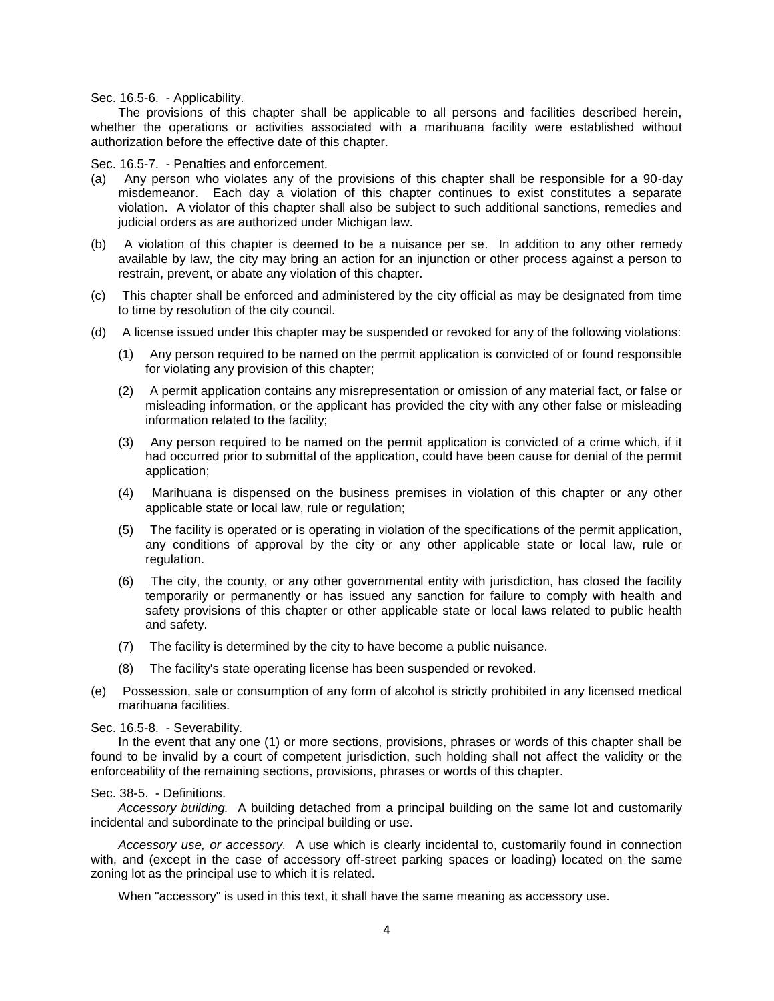Sec. 16.5-6. - Applicability.

The provisions of this chapter shall be applicable to all persons and facilities described herein, whether the operations or activities associated with a marihuana facility were established without authorization before the effective date of this chapter.

### Sec. 16.5-7. - Penalties and enforcement.

- (a) Any person who violates any of the provisions of this chapter shall be responsible for a 90-day misdemeanor. Each day a violation of this chapter continues to exist constitutes a separate violation. A violator of this chapter shall also be subject to such additional sanctions, remedies and judicial orders as are authorized under Michigan law.
- (b) A violation of this chapter is deemed to be a nuisance per se. In addition to any other remedy available by law, the city may bring an action for an injunction or other process against a person to restrain, prevent, or abate any violation of this chapter.
- (c) This chapter shall be enforced and administered by the city official as may be designated from time to time by resolution of the city council.
- (d) A license issued under this chapter may be suspended or revoked for any of the following violations:
	- (1) Any person required to be named on the permit application is convicted of or found responsible for violating any provision of this chapter;
	- (2) A permit application contains any misrepresentation or omission of any material fact, or false or misleading information, or the applicant has provided the city with any other false or misleading information related to the facility;
	- (3) Any person required to be named on the permit application is convicted of a crime which, if it had occurred prior to submittal of the application, could have been cause for denial of the permit application;
	- (4) Marihuana is dispensed on the business premises in violation of this chapter or any other applicable state or local law, rule or regulation;
	- (5) The facility is operated or is operating in violation of the specifications of the permit application, any conditions of approval by the city or any other applicable state or local law, rule or regulation.
	- (6) The city, the county, or any other governmental entity with jurisdiction, has closed the facility temporarily or permanently or has issued any sanction for failure to comply with health and safety provisions of this chapter or other applicable state or local laws related to public health and safety.
	- (7) The facility is determined by the city to have become a public nuisance.
	- (8) The facility's state operating license has been suspended or revoked.
- (e) Possession, sale or consumption of any form of alcohol is strictly prohibited in any licensed medical marihuana facilities.

#### Sec. 16.5-8. - Severability.

In the event that any one (1) or more sections, provisions, phrases or words of this chapter shall be found to be invalid by a court of competent jurisdiction, such holding shall not affect the validity or the enforceability of the remaining sections, provisions, phrases or words of this chapter.

#### Sec. 38-5. - Definitions.

*Accessory building.* A building detached from a principal building on the same lot and customarily incidental and subordinate to the principal building or use.

*Accessory use, or accessory.* A use which is clearly incidental to, customarily found in connection with, and (except in the case of accessory off-street parking spaces or loading) located on the same zoning lot as the principal use to which it is related.

When "accessory" is used in this text, it shall have the same meaning as accessory use.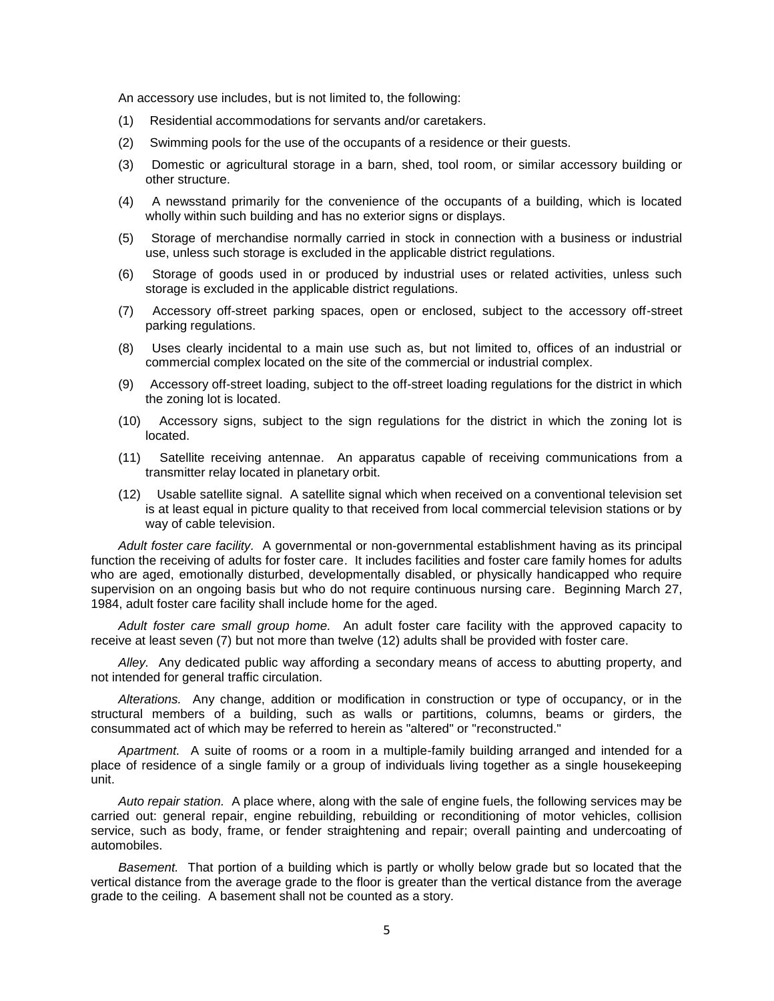An accessory use includes, but is not limited to, the following:

- (1) Residential accommodations for servants and/or caretakers.
- (2) Swimming pools for the use of the occupants of a residence or their guests.
- (3) Domestic or agricultural storage in a barn, shed, tool room, or similar accessory building or other structure.
- (4) A newsstand primarily for the convenience of the occupants of a building, which is located wholly within such building and has no exterior signs or displays.
- (5) Storage of merchandise normally carried in stock in connection with a business or industrial use, unless such storage is excluded in the applicable district regulations.
- (6) Storage of goods used in or produced by industrial uses or related activities, unless such storage is excluded in the applicable district regulations.
- (7) Accessory off-street parking spaces, open or enclosed, subject to the accessory off-street parking regulations.
- (8) Uses clearly incidental to a main use such as, but not limited to, offices of an industrial or commercial complex located on the site of the commercial or industrial complex.
- (9) Accessory off-street loading, subject to the off-street loading regulations for the district in which the zoning lot is located.
- (10) Accessory signs, subject to the sign regulations for the district in which the zoning lot is located.
- (11) Satellite receiving antennae. An apparatus capable of receiving communications from a transmitter relay located in planetary orbit.
- (12) Usable satellite signal. A satellite signal which when received on a conventional television set is at least equal in picture quality to that received from local commercial television stations or by way of cable television.

*Adult foster care facility.* A governmental or non-governmental establishment having as its principal function the receiving of adults for foster care. It includes facilities and foster care family homes for adults who are aged, emotionally disturbed, developmentally disabled, or physically handicapped who require supervision on an ongoing basis but who do not require continuous nursing care. Beginning March 27, 1984, adult foster care facility shall include home for the aged.

*Adult foster care small group home.* An adult foster care facility with the approved capacity to receive at least seven (7) but not more than twelve (12) adults shall be provided with foster care.

*Alley.* Any dedicated public way affording a secondary means of access to abutting property, and not intended for general traffic circulation.

*Alterations.* Any change, addition or modification in construction or type of occupancy, or in the structural members of a building, such as walls or partitions, columns, beams or girders, the consummated act of which may be referred to herein as "altered" or "reconstructed."

*Apartment.* A suite of rooms or a room in a multiple-family building arranged and intended for a place of residence of a single family or a group of individuals living together as a single housekeeping unit.

*Auto repair station.* A place where, along with the sale of engine fuels, the following services may be carried out: general repair, engine rebuilding, rebuilding or reconditioning of motor vehicles, collision service, such as body, frame, or fender straightening and repair; overall painting and undercoating of automobiles.

*Basement.* That portion of a building which is partly or wholly below grade but so located that the vertical distance from the average grade to the floor is greater than the vertical distance from the average grade to the ceiling. A basement shall not be counted as a story.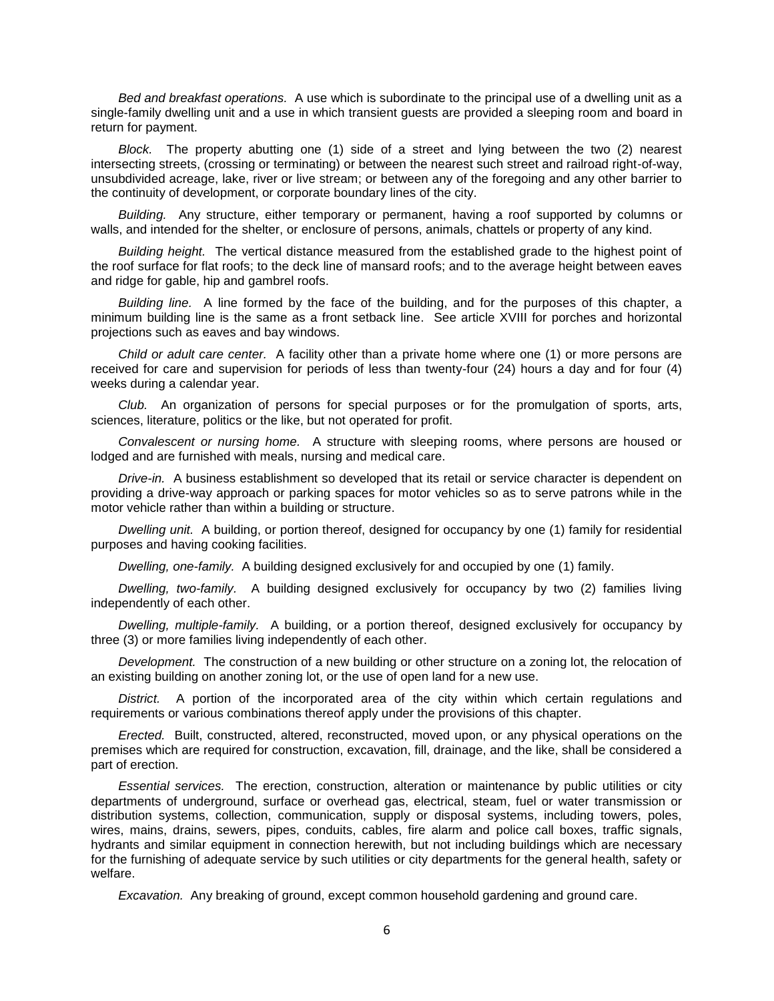*Bed and breakfast operations.* A use which is subordinate to the principal use of a dwelling unit as a single-family dwelling unit and a use in which transient guests are provided a sleeping room and board in return for payment.

*Block.* The property abutting one (1) side of a street and lying between the two (2) nearest intersecting streets, (crossing or terminating) or between the nearest such street and railroad right-of-way, unsubdivided acreage, lake, river or live stream; or between any of the foregoing and any other barrier to the continuity of development, or corporate boundary lines of the city.

*Building.* Any structure, either temporary or permanent, having a roof supported by columns or walls, and intended for the shelter, or enclosure of persons, animals, chattels or property of any kind.

*Building height.* The vertical distance measured from the established grade to the highest point of the roof surface for flat roofs; to the deck line of mansard roofs; and to the average height between eaves and ridge for gable, hip and gambrel roofs.

*Building line.* A line formed by the face of the building, and for the purposes of this chapter, a minimum building line is the same as a front setback line. See article XVIII for porches and horizontal projections such as eaves and bay windows.

*Child or adult care center.* A facility other than a private home where one (1) or more persons are received for care and supervision for periods of less than twenty-four (24) hours a day and for four (4) weeks during a calendar year.

*Club.* An organization of persons for special purposes or for the promulgation of sports, arts, sciences, literature, politics or the like, but not operated for profit.

*Convalescent or nursing home.* A structure with sleeping rooms, where persons are housed or lodged and are furnished with meals, nursing and medical care.

*Drive-in.* A business establishment so developed that its retail or service character is dependent on providing a drive-way approach or parking spaces for motor vehicles so as to serve patrons while in the motor vehicle rather than within a building or structure.

*Dwelling unit.* A building, or portion thereof, designed for occupancy by one (1) family for residential purposes and having cooking facilities.

*Dwelling, one-family.* A building designed exclusively for and occupied by one (1) family.

*Dwelling, two-family.* A building designed exclusively for occupancy by two (2) families living independently of each other.

*Dwelling, multiple-family.* A building, or a portion thereof, designed exclusively for occupancy by three (3) or more families living independently of each other.

*Development.* The construction of a new building or other structure on a zoning lot, the relocation of an existing building on another zoning lot, or the use of open land for a new use.

*District.* A portion of the incorporated area of the city within which certain regulations and requirements or various combinations thereof apply under the provisions of this chapter.

*Erected.* Built, constructed, altered, reconstructed, moved upon, or any physical operations on the premises which are required for construction, excavation, fill, drainage, and the like, shall be considered a part of erection.

*Essential services.* The erection, construction, alteration or maintenance by public utilities or city departments of underground, surface or overhead gas, electrical, steam, fuel or water transmission or distribution systems, collection, communication, supply or disposal systems, including towers, poles, wires, mains, drains, sewers, pipes, conduits, cables, fire alarm and police call boxes, traffic signals, hydrants and similar equipment in connection herewith, but not including buildings which are necessary for the furnishing of adequate service by such utilities or city departments for the general health, safety or welfare.

*Excavation.* Any breaking of ground, except common household gardening and ground care.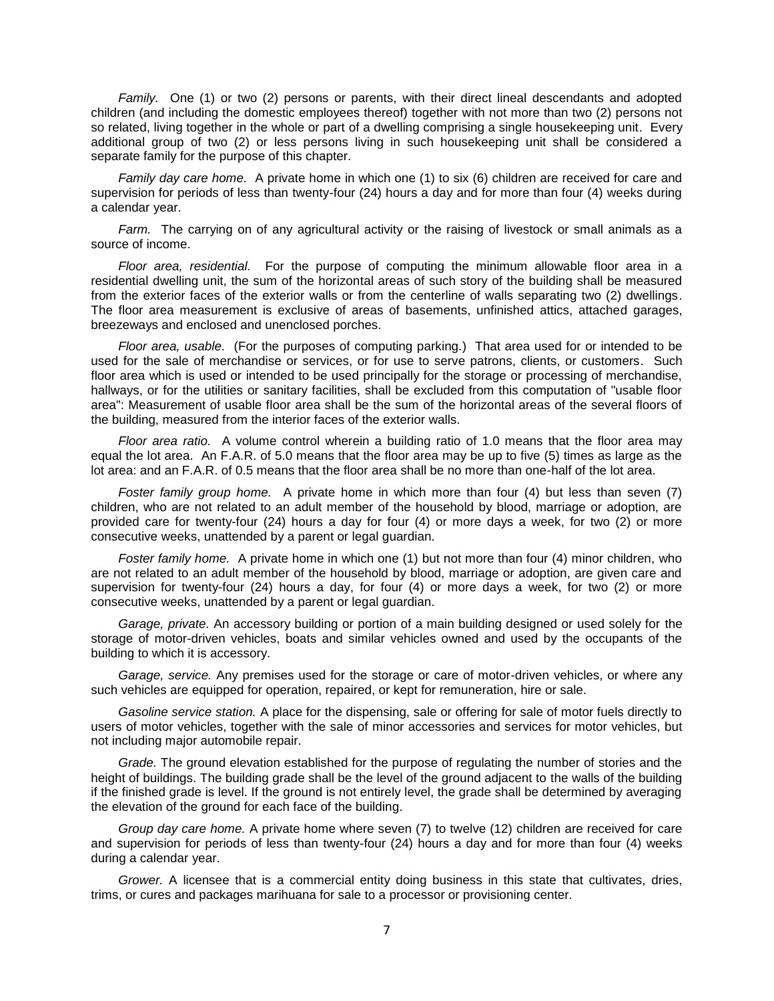*Family.* One (1) or two (2) persons or parents, with their direct lineal descendants and adopted children (and including the domestic employees thereof) together with not more than two (2) persons not so related, living together in the whole or part of a dwelling comprising a single housekeeping unit. Every additional group of two (2) or less persons living in such housekeeping unit shall be considered a separate family for the purpose of this chapter.

*Family day care home.* A private home in which one (1) to six (6) children are received for care and supervision for periods of less than twenty-four (24) hours a day and for more than four (4) weeks during a calendar year.

*Farm.* The carrying on of any agricultural activity or the raising of livestock or small animals as a source of income.

*Floor area, residential.* For the purpose of computing the minimum allowable floor area in a residential dwelling unit, the sum of the horizontal areas of such story of the building shall be measured from the exterior faces of the exterior walls or from the centerline of walls separating two (2) dwellings. The floor area measurement is exclusive of areas of basements, unfinished attics, attached garages, breezeways and enclosed and unenclosed porches.

*Floor area, usable.* (For the purposes of computing parking.) That area used for or intended to be used for the sale of merchandise or services, or for use to serve patrons, clients, or customers. Such floor area which is used or intended to be used principally for the storage or processing of merchandise, hallways, or for the utilities or sanitary facilities, shall be excluded from this computation of "usable floor area": Measurement of usable floor area shall be the sum of the horizontal areas of the several floors of the building, measured from the interior faces of the exterior walls.

*Floor area ratio.* A volume control wherein a building ratio of 1.0 means that the floor area may equal the lot area. An F.A.R. of 5.0 means that the floor area may be up to five (5) times as large as the lot area: and an F.A.R. of 0.5 means that the floor area shall be no more than one-half of the lot area.

*Foster family group home.* A private home in which more than four (4) but less than seven (7) children, who are not related to an adult member of the household by blood, marriage or adoption, are provided care for twenty-four (24) hours a day for four (4) or more days a week, for two (2) or more consecutive weeks, unattended by a parent or legal guardian.

*Foster family home.* A private home in which one (1) but not more than four (4) minor children, who are not related to an adult member of the household by blood, marriage or adoption, are given care and supervision for twenty-four (24) hours a day, for four (4) or more days a week, for two (2) or more consecutive weeks, unattended by a parent or legal guardian.

*Garage, private.* An accessory building or portion of a main building designed or used solely for the storage of motor-driven vehicles, boats and similar vehicles owned and used by the occupants of the building to which it is accessory.

*Garage, service.* Any premises used for the storage or care of motor-driven vehicles, or where any such vehicles are equipped for operation, repaired, or kept for remuneration, hire or sale.

*Gasoline service station.* A place for the dispensing, sale or offering for sale of motor fuels directly to users of motor vehicles, together with the sale of minor accessories and services for motor vehicles, but not including major automobile repair.

*Grade.* The ground elevation established for the purpose of regulating the number of stories and the height of buildings. The building grade shall be the level of the ground adjacent to the walls of the building if the finished grade is level. If the ground is not entirely level, the grade shall be determined by averaging the elevation of the ground for each face of the building.

*Group day care home.* A private home where seven (7) to twelve (12) children are received for care and supervision for periods of less than twenty-four (24) hours a day and for more than four (4) weeks during a calendar year.

*Grower.* A licensee that is a commercial entity doing business in this state that cultivates, dries, trims, or cures and packages marihuana for sale to a processor or provisioning center.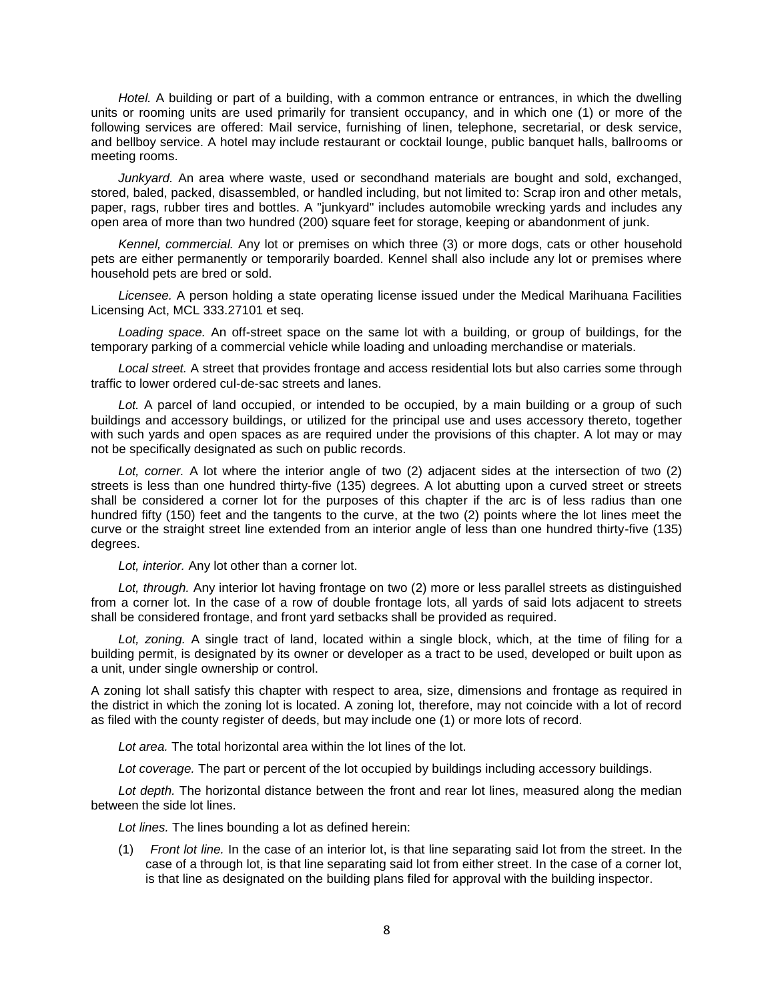*Hotel.* A building or part of a building, with a common entrance or entrances, in which the dwelling units or rooming units are used primarily for transient occupancy, and in which one (1) or more of the following services are offered: Mail service, furnishing of linen, telephone, secretarial, or desk service, and bellboy service. A hotel may include restaurant or cocktail lounge, public banquet halls, ballrooms or meeting rooms.

*Junkyard.* An area where waste, used or secondhand materials are bought and sold, exchanged, stored, baled, packed, disassembled, or handled including, but not limited to: Scrap iron and other metals, paper, rags, rubber tires and bottles. A "junkyard" includes automobile wrecking yards and includes any open area of more than two hundred (200) square feet for storage, keeping or abandonment of junk.

*Kennel, commercial.* Any lot or premises on which three (3) or more dogs, cats or other household pets are either permanently or temporarily boarded. Kennel shall also include any lot or premises where household pets are bred or sold.

*Licensee.* A person holding a state operating license issued under the Medical Marihuana Facilities Licensing Act, MCL 333.27101 et seq.

*Loading space.* An off-street space on the same lot with a building, or group of buildings, for the temporary parking of a commercial vehicle while loading and unloading merchandise or materials.

*Local street.* A street that provides frontage and access residential lots but also carries some through traffic to lower ordered cul-de-sac streets and lanes.

*Lot.* A parcel of land occupied, or intended to be occupied, by a main building or a group of such buildings and accessory buildings, or utilized for the principal use and uses accessory thereto, together with such yards and open spaces as are required under the provisions of this chapter. A lot may or may not be specifically designated as such on public records.

*Lot, corner.* A lot where the interior angle of two (2) adjacent sides at the intersection of two (2) streets is less than one hundred thirty-five (135) degrees. A lot abutting upon a curved street or streets shall be considered a corner lot for the purposes of this chapter if the arc is of less radius than one hundred fifty (150) feet and the tangents to the curve, at the two (2) points where the lot lines meet the curve or the straight street line extended from an interior angle of less than one hundred thirty-five (135) degrees.

*Lot, interior.* Any lot other than a corner lot.

*Lot, through.* Any interior lot having frontage on two (2) more or less parallel streets as distinguished from a corner lot. In the case of a row of double frontage lots, all yards of said lots adjacent to streets shall be considered frontage, and front yard setbacks shall be provided as required.

*Lot, zoning.* A single tract of land, located within a single block, which, at the time of filing for a building permit, is designated by its owner or developer as a tract to be used, developed or built upon as a unit, under single ownership or control.

A zoning lot shall satisfy this chapter with respect to area, size, dimensions and frontage as required in the district in which the zoning lot is located. A zoning lot, therefore, may not coincide with a lot of record as filed with the county register of deeds, but may include one (1) or more lots of record.

*Lot area.* The total horizontal area within the lot lines of the lot.

*Lot coverage.* The part or percent of the lot occupied by buildings including accessory buildings.

*Lot depth.* The horizontal distance between the front and rear lot lines, measured along the median between the side lot lines.

*Lot lines.* The lines bounding a lot as defined herein:

(1) *Front lot line.* In the case of an interior lot, is that line separating said lot from the street. In the case of a through lot, is that line separating said lot from either street. In the case of a corner lot, is that line as designated on the building plans filed for approval with the building inspector.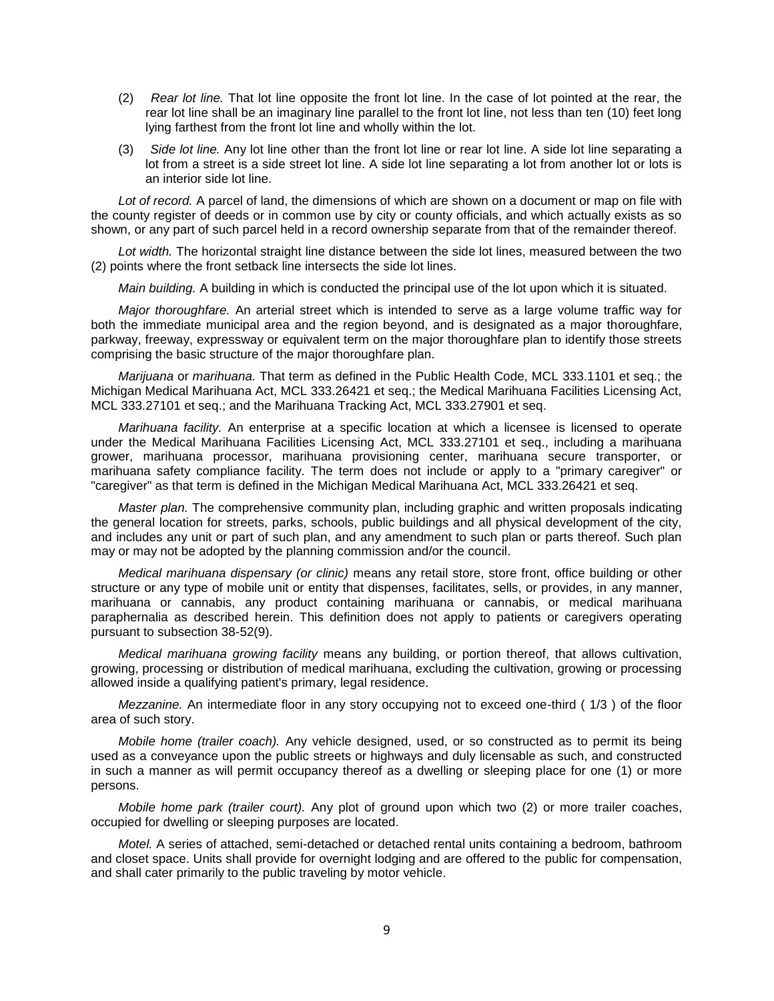- (2) *Rear lot line.* That lot line opposite the front lot line. In the case of lot pointed at the rear, the rear lot line shall be an imaginary line parallel to the front lot line, not less than ten (10) feet long lying farthest from the front lot line and wholly within the lot.
- (3) *Side lot line.* Any lot line other than the front lot line or rear lot line. A side lot line separating a lot from a street is a side street lot line. A side lot line separating a lot from another lot or lots is an interior side lot line.

*Lot of record.* A parcel of land, the dimensions of which are shown on a document or map on file with the county register of deeds or in common use by city or county officials, and which actually exists as so shown, or any part of such parcel held in a record ownership separate from that of the remainder thereof.

*Lot width.* The horizontal straight line distance between the side lot lines, measured between the two (2) points where the front setback line intersects the side lot lines.

*Main building.* A building in which is conducted the principal use of the lot upon which it is situated.

*Major thoroughfare.* An arterial street which is intended to serve as a large volume traffic way for both the immediate municipal area and the region beyond, and is designated as a major thoroughfare, parkway, freeway, expressway or equivalent term on the major thoroughfare plan to identify those streets comprising the basic structure of the major thoroughfare plan.

*Marijuana* or *marihuana.* That term as defined in the Public Health Code, MCL 333.1101 et seq.; the Michigan Medical Marihuana Act, MCL 333.26421 et seq.; the Medical Marihuana Facilities Licensing Act, MCL 333.27101 et seq.; and the Marihuana Tracking Act, MCL 333.27901 et seq.

*Marihuana facility.* An enterprise at a specific location at which a licensee is licensed to operate under the Medical Marihuana Facilities Licensing Act, MCL 333.27101 et seq., including a marihuana grower, marihuana processor, marihuana provisioning center, marihuana secure transporter, or marihuana safety compliance facility. The term does not include or apply to a "primary caregiver" or "caregiver" as that term is defined in the Michigan Medical Marihuana Act, MCL 333.26421 et seq.

*Master plan.* The comprehensive community plan, including graphic and written proposals indicating the general location for streets, parks, schools, public buildings and all physical development of the city, and includes any unit or part of such plan, and any amendment to such plan or parts thereof. Such plan may or may not be adopted by the planning commission and/or the council.

*Medical marihuana dispensary (or clinic)* means any retail store, store front, office building or other structure or any type of mobile unit or entity that dispenses, facilitates, sells, or provides, in any manner, marihuana or cannabis, any product containing marihuana or cannabis, or medical marihuana paraphernalia as described herein. This definition does not apply to patients or caregivers operating pursuant to subsection 38-52(9).

*Medical marihuana growing facility* means any building, or portion thereof, that allows cultivation, growing, processing or distribution of medical marihuana, excluding the cultivation, growing or processing allowed inside a qualifying patient's primary, legal residence.

*Mezzanine.* An intermediate floor in any story occupying not to exceed one-third ( 1/3 ) of the floor area of such story.

*Mobile home (trailer coach).* Any vehicle designed, used, or so constructed as to permit its being used as a conveyance upon the public streets or highways and duly licensable as such, and constructed in such a manner as will permit occupancy thereof as a dwelling or sleeping place for one (1) or more persons.

*Mobile home park (trailer court).* Any plot of ground upon which two (2) or more trailer coaches, occupied for dwelling or sleeping purposes are located.

*Motel.* A series of attached, semi-detached or detached rental units containing a bedroom, bathroom and closet space. Units shall provide for overnight lodging and are offered to the public for compensation, and shall cater primarily to the public traveling by motor vehicle.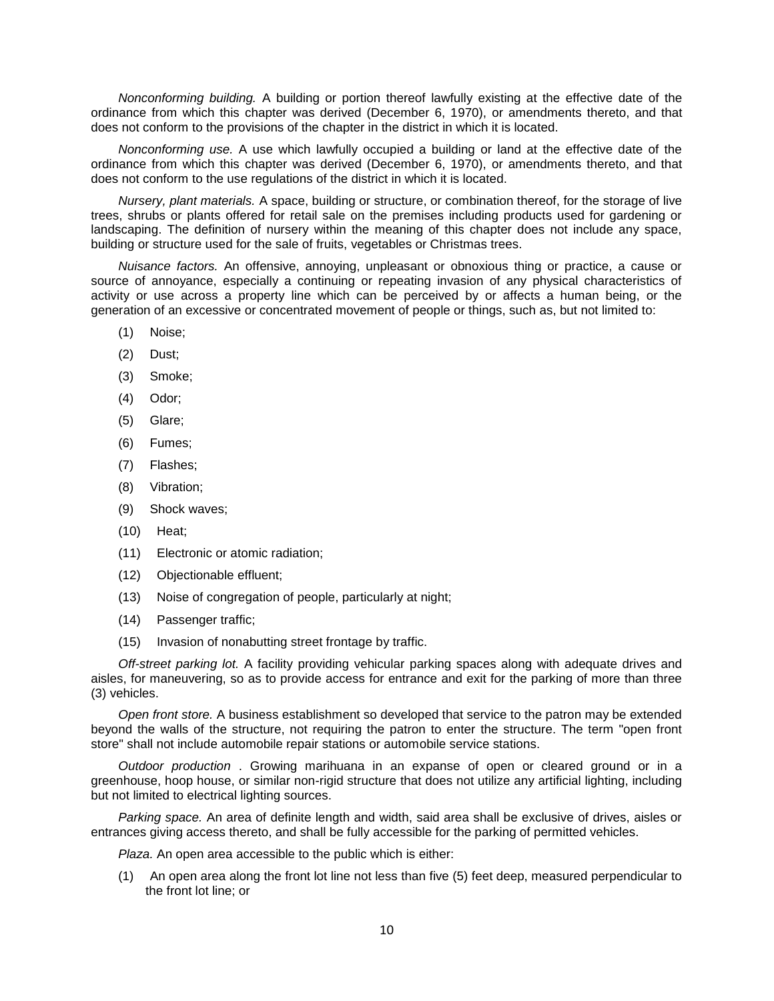*Nonconforming building.* A building or portion thereof lawfully existing at the effective date of the ordinance from which this chapter was derived (December 6, 1970), or amendments thereto, and that does not conform to the provisions of the chapter in the district in which it is located.

*Nonconforming use.* A use which lawfully occupied a building or land at the effective date of the ordinance from which this chapter was derived (December 6, 1970), or amendments thereto, and that does not conform to the use regulations of the district in which it is located.

*Nursery, plant materials.* A space, building or structure, or combination thereof, for the storage of live trees, shrubs or plants offered for retail sale on the premises including products used for gardening or landscaping. The definition of nursery within the meaning of this chapter does not include any space, building or structure used for the sale of fruits, vegetables or Christmas trees.

*Nuisance factors.* An offensive, annoying, unpleasant or obnoxious thing or practice, a cause or source of annoyance, especially a continuing or repeating invasion of any physical characteristics of activity or use across a property line which can be perceived by or affects a human being, or the generation of an excessive or concentrated movement of people or things, such as, but not limited to:

- (1) Noise;
- (2) Dust;
- (3) Smoke;
- (4) Odor;
- (5) Glare;
- (6) Fumes;
- (7) Flashes;
- (8) Vibration;
- (9) Shock waves;
- (10) Heat;
- (11) Electronic or atomic radiation;
- (12) Objectionable effluent;
- (13) Noise of congregation of people, particularly at night;
- (14) Passenger traffic;
- (15) Invasion of nonabutting street frontage by traffic.

*Off-street parking lot.* A facility providing vehicular parking spaces along with adequate drives and aisles, for maneuvering, so as to provide access for entrance and exit for the parking of more than three (3) vehicles.

*Open front store.* A business establishment so developed that service to the patron may be extended beyond the walls of the structure, not requiring the patron to enter the structure. The term "open front store" shall not include automobile repair stations or automobile service stations.

*Outdoor production* . Growing marihuana in an expanse of open or cleared ground or in a greenhouse, hoop house, or similar non-rigid structure that does not utilize any artificial lighting, including but not limited to electrical lighting sources.

*Parking space.* An area of definite length and width, said area shall be exclusive of drives, aisles or entrances giving access thereto, and shall be fully accessible for the parking of permitted vehicles.

*Plaza.* An open area accessible to the public which is either:

(1) An open area along the front lot line not less than five (5) feet deep, measured perpendicular to the front lot line; or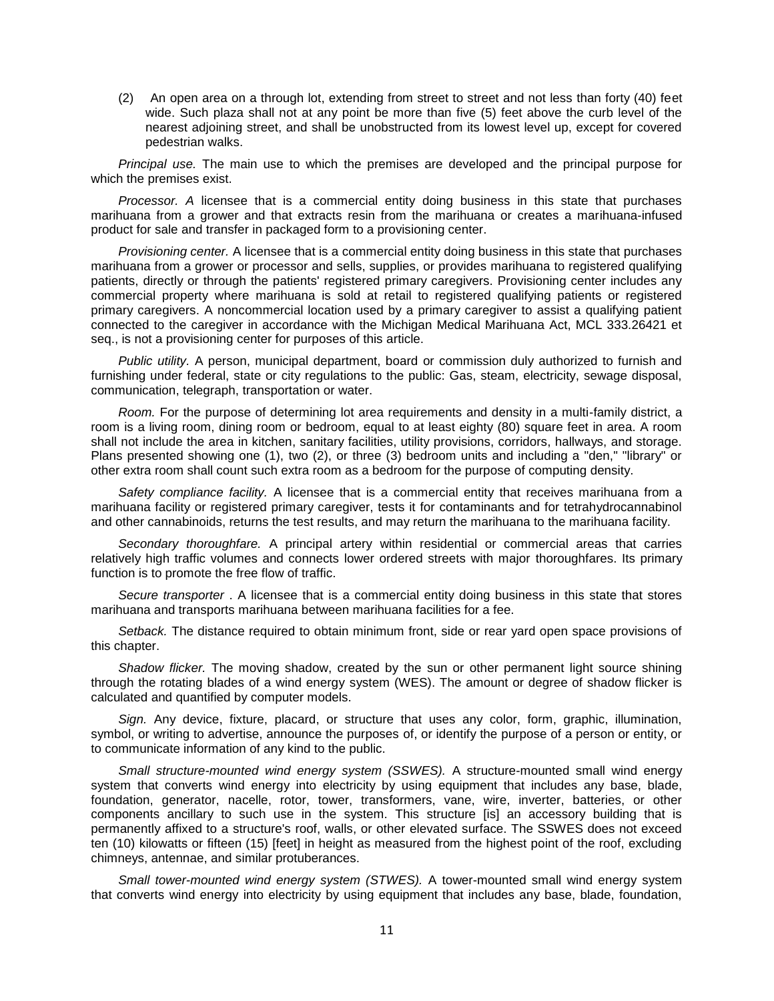(2) An open area on a through lot, extending from street to street and not less than forty (40) feet wide. Such plaza shall not at any point be more than five (5) feet above the curb level of the nearest adjoining street, and shall be unobstructed from its lowest level up, except for covered pedestrian walks.

*Principal use.* The main use to which the premises are developed and the principal purpose for which the premises exist.

*Processor. A* licensee that is a commercial entity doing business in this state that purchases marihuana from a grower and that extracts resin from the marihuana or creates a marihuana-infused product for sale and transfer in packaged form to a provisioning center.

*Provisioning center.* A licensee that is a commercial entity doing business in this state that purchases marihuana from a grower or processor and sells, supplies, or provides marihuana to registered qualifying patients, directly or through the patients' registered primary caregivers. Provisioning center includes any commercial property where marihuana is sold at retail to registered qualifying patients or registered primary caregivers. A noncommercial location used by a primary caregiver to assist a qualifying patient connected to the caregiver in accordance with the Michigan Medical Marihuana Act, MCL 333.26421 et seq., is not a provisioning center for purposes of this article.

*Public utility.* A person, municipal department, board or commission duly authorized to furnish and furnishing under federal, state or city regulations to the public: Gas, steam, electricity, sewage disposal, communication, telegraph, transportation or water.

*Room.* For the purpose of determining lot area requirements and density in a multi-family district, a room is a living room, dining room or bedroom, equal to at least eighty (80) square feet in area. A room shall not include the area in kitchen, sanitary facilities, utility provisions, corridors, hallways, and storage. Plans presented showing one (1), two (2), or three (3) bedroom units and including a "den," "library" or other extra room shall count such extra room as a bedroom for the purpose of computing density.

*Safety compliance facility.* A licensee that is a commercial entity that receives marihuana from a marihuana facility or registered primary caregiver, tests it for contaminants and for tetrahydrocannabinol and other cannabinoids, returns the test results, and may return the marihuana to the marihuana facility.

*Secondary thoroughfare.* A principal artery within residential or commercial areas that carries relatively high traffic volumes and connects lower ordered streets with major thoroughfares. Its primary function is to promote the free flow of traffic.

*Secure transporter* . A licensee that is a commercial entity doing business in this state that stores marihuana and transports marihuana between marihuana facilities for a fee.

*Setback.* The distance required to obtain minimum front, side or rear yard open space provisions of this chapter.

*Shadow flicker.* The moving shadow, created by the sun or other permanent light source shining through the rotating blades of a wind energy system (WES). The amount or degree of shadow flicker is calculated and quantified by computer models.

*Sign.* Any device, fixture, placard, or structure that uses any color, form, graphic, illumination, symbol, or writing to advertise, announce the purposes of, or identify the purpose of a person or entity, or to communicate information of any kind to the public.

*Small structure-mounted wind energy system (SSWES).* A structure-mounted small wind energy system that converts wind energy into electricity by using equipment that includes any base, blade, foundation, generator, nacelle, rotor, tower, transformers, vane, wire, inverter, batteries, or other components ancillary to such use in the system. This structure [is] an accessory building that is permanently affixed to a structure's roof, walls, or other elevated surface. The SSWES does not exceed ten (10) kilowatts or fifteen (15) [feet] in height as measured from the highest point of the roof, excluding chimneys, antennae, and similar protuberances.

*Small tower-mounted wind energy system (STWES).* A tower-mounted small wind energy system that converts wind energy into electricity by using equipment that includes any base, blade, foundation,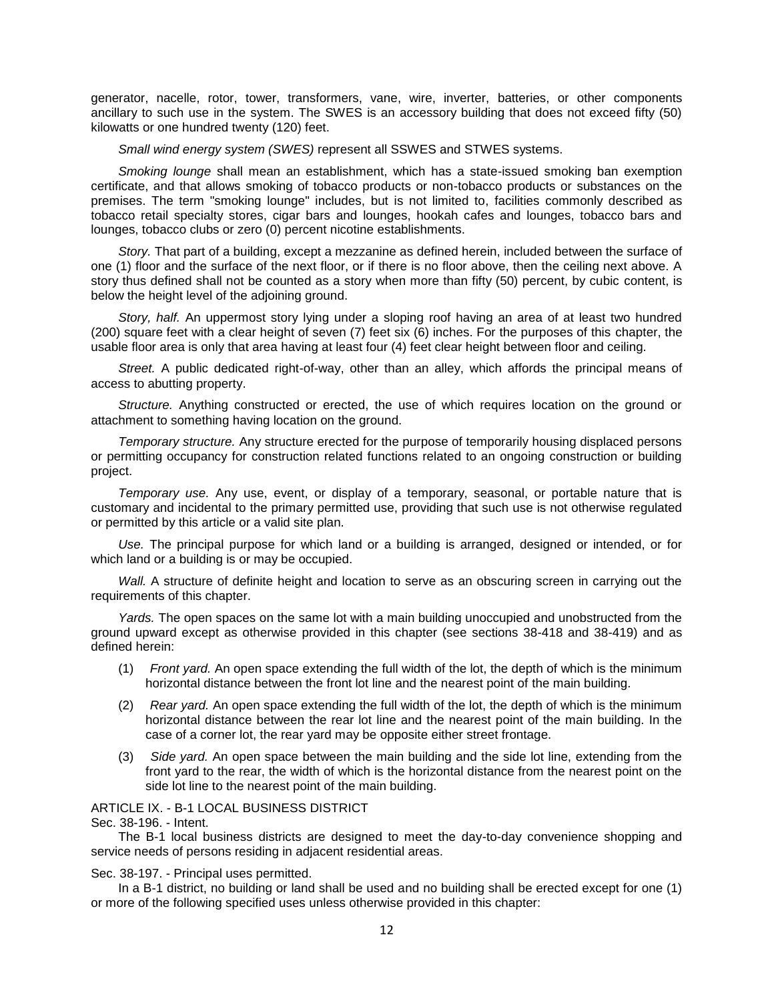generator, nacelle, rotor, tower, transformers, vane, wire, inverter, batteries, or other components ancillary to such use in the system. The SWES is an accessory building that does not exceed fifty (50) kilowatts or one hundred twenty (120) feet.

*Small wind energy system (SWES)* represent all SSWES and STWES systems.

*Smoking lounge* shall mean an establishment, which has a state-issued smoking ban exemption certificate, and that allows smoking of tobacco products or non-tobacco products or substances on the premises. The term "smoking lounge" includes, but is not limited to, facilities commonly described as tobacco retail specialty stores, cigar bars and lounges, hookah cafes and lounges, tobacco bars and lounges, tobacco clubs or zero (0) percent nicotine establishments.

*Story.* That part of a building, except a mezzanine as defined herein, included between the surface of one (1) floor and the surface of the next floor, or if there is no floor above, then the ceiling next above. A story thus defined shall not be counted as a story when more than fifty (50) percent, by cubic content, is below the height level of the adjoining ground.

*Story, half.* An uppermost story lying under a sloping roof having an area of at least two hundred (200) square feet with a clear height of seven (7) feet six (6) inches. For the purposes of this chapter, the usable floor area is only that area having at least four (4) feet clear height between floor and ceiling.

*Street.* A public dedicated right-of-way, other than an alley, which affords the principal means of access to abutting property.

*Structure.* Anything constructed or erected, the use of which requires location on the ground or attachment to something having location on the ground.

*Temporary structure.* Any structure erected for the purpose of temporarily housing displaced persons or permitting occupancy for construction related functions related to an ongoing construction or building project.

*Temporary use.* Any use, event, or display of a temporary, seasonal, or portable nature that is customary and incidental to the primary permitted use, providing that such use is not otherwise regulated or permitted by this article or a valid site plan.

*Use.* The principal purpose for which land or a building is arranged, designed or intended, or for which land or a building is or may be occupied.

*Wall.* A structure of definite height and location to serve as an obscuring screen in carrying out the requirements of this chapter.

*Yards.* The open spaces on the same lot with a main building unoccupied and unobstructed from the ground upward except as otherwise provided in this chapter (see sections 38-418 and 38-419) and as defined herein:

- (1) *Front yard.* An open space extending the full width of the lot, the depth of which is the minimum horizontal distance between the front lot line and the nearest point of the main building.
- (2) *Rear yard.* An open space extending the full width of the lot, the depth of which is the minimum horizontal distance between the rear lot line and the nearest point of the main building. In the case of a corner lot, the rear yard may be opposite either street frontage.
- (3) *Side yard.* An open space between the main building and the side lot line, extending from the front yard to the rear, the width of which is the horizontal distance from the nearest point on the side lot line to the nearest point of the main building.

## ARTICLE IX. - B-1 LOCAL BUSINESS DISTRICT

Sec. 38-196. - Intent.

The B-1 local business districts are designed to meet the day-to-day convenience shopping and service needs of persons residing in adjacent residential areas.

Sec. 38-197. - Principal uses permitted.

In a B-1 district, no building or land shall be used and no building shall be erected except for one (1) or more of the following specified uses unless otherwise provided in this chapter: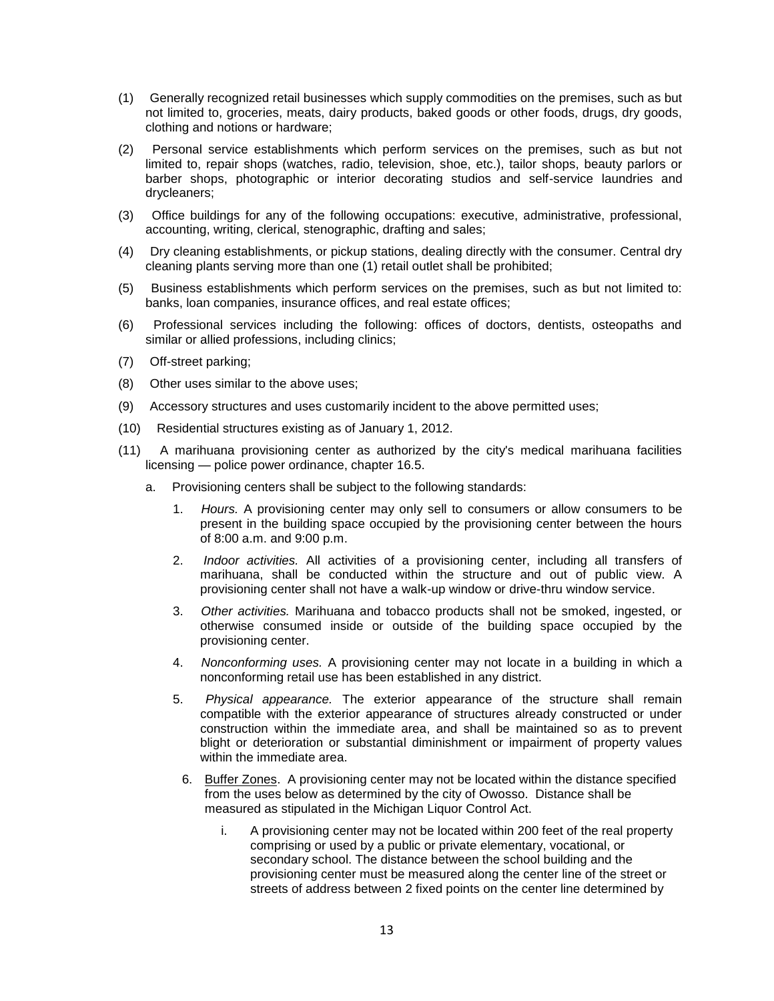- (1) Generally recognized retail businesses which supply commodities on the premises, such as but not limited to, groceries, meats, dairy products, baked goods or other foods, drugs, dry goods, clothing and notions or hardware;
- (2) Personal service establishments which perform services on the premises, such as but not limited to, repair shops (watches, radio, television, shoe, etc.), tailor shops, beauty parlors or barber shops, photographic or interior decorating studios and self-service laundries and drycleaners;
- (3) Office buildings for any of the following occupations: executive, administrative, professional, accounting, writing, clerical, stenographic, drafting and sales;
- (4) Dry cleaning establishments, or pickup stations, dealing directly with the consumer. Central dry cleaning plants serving more than one (1) retail outlet shall be prohibited;
- (5) Business establishments which perform services on the premises, such as but not limited to: banks, loan companies, insurance offices, and real estate offices;
- (6) Professional services including the following: offices of doctors, dentists, osteopaths and similar or allied professions, including clinics;
- (7) Off-street parking;
- (8) Other uses similar to the above uses;
- (9) Accessory structures and uses customarily incident to the above permitted uses;
- (10) Residential structures existing as of January 1, 2012.
- (11) A marihuana provisioning center as authorized by the city's medical marihuana facilities licensing — police power ordinance, chapter 16.5.
	- a. Provisioning centers shall be subject to the following standards:
		- 1. *Hours.* A provisioning center may only sell to consumers or allow consumers to be present in the building space occupied by the provisioning center between the hours of 8:00 a.m. and 9:00 p.m.
		- 2. *Indoor activities.* All activities of a provisioning center, including all transfers of marihuana, shall be conducted within the structure and out of public view. A provisioning center shall not have a walk-up window or drive-thru window service.
		- 3. *Other activities.* Marihuana and tobacco products shall not be smoked, ingested, or otherwise consumed inside or outside of the building space occupied by the provisioning center.
		- 4. *Nonconforming uses.* A provisioning center may not locate in a building in which a nonconforming retail use has been established in any district.
		- 5. *Physical appearance.* The exterior appearance of the structure shall remain compatible with the exterior appearance of structures already constructed or under construction within the immediate area, and shall be maintained so as to prevent blight or deterioration or substantial diminishment or impairment of property values within the immediate area.
			- 6. Buffer Zones. A provisioning center may not be located within the distance specified from the uses below as determined by the city of Owosso. Distance shall be measured as stipulated in the Michigan Liquor Control Act.
				- i. A provisioning center may not be located within 200 feet of the real property comprising or used by a public or private elementary, vocational, or secondary school. The distance between the school building and the provisioning center must be measured along the center line of the street or streets of address between 2 fixed points on the center line determined by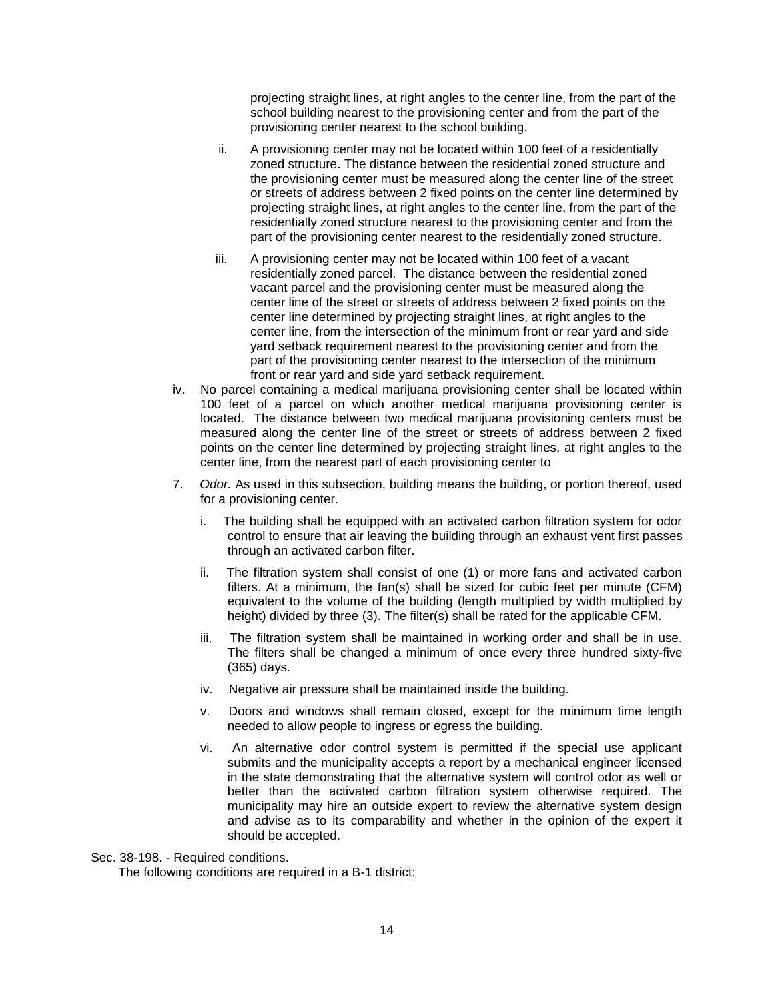projecting straight lines, at right angles to the center line, from the part of the school building nearest to the provisioning center and from the part of the provisioning center nearest to the school building.

- ii. A provisioning center may not be located within 100 feet of a residentially zoned structure. The distance between the residential zoned structure and the provisioning center must be measured along the center line of the street or streets of address between 2 fixed points on the center line determined by projecting straight lines, at right angles to the center line, from the part of the residentially zoned structure nearest to the provisioning center and from the part of the provisioning center nearest to the residentially zoned structure.
- iii. A provisioning center may not be located within 100 feet of a vacant residentially zoned parcel. The distance between the residential zoned vacant parcel and the provisioning center must be measured along the center line of the street or streets of address between 2 fixed points on the center line determined by projecting straight lines, at right angles to the center line, from the intersection of the minimum front or rear yard and side yard setback requirement nearest to the provisioning center and from the part of the provisioning center nearest to the intersection of the minimum front or rear yard and side yard setback requirement.
- iv. No parcel containing a medical marijuana provisioning center shall be located within 100 feet of a parcel on which another medical marijuana provisioning center is located. The distance between two medical marijuana provisioning centers must be measured along the center line of the street or streets of address between 2 fixed points on the center line determined by projecting straight lines, at right angles to the center line, from the nearest part of each provisioning center to
- 7. *Odor.* As used in this subsection, building means the building, or portion thereof, used for a provisioning center.
	- i. The building shall be equipped with an activated carbon filtration system for odor control to ensure that air leaving the building through an exhaust vent first passes through an activated carbon filter.
	- ii. The filtration system shall consist of one (1) or more fans and activated carbon filters. At a minimum, the fan(s) shall be sized for cubic feet per minute (CFM) equivalent to the volume of the building (length multiplied by width multiplied by height) divided by three (3). The filter(s) shall be rated for the applicable CFM.
	- iii. The filtration system shall be maintained in working order and shall be in use. The filters shall be changed a minimum of once every three hundred sixty-five (365) days.
	- iv. Negative air pressure shall be maintained inside the building.
	- v. Doors and windows shall remain closed, except for the minimum time length needed to allow people to ingress or egress the building.
	- vi. An alternative odor control system is permitted if the special use applicant submits and the municipality accepts a report by a mechanical engineer licensed in the state demonstrating that the alternative system will control odor as well or better than the activated carbon filtration system otherwise required. The municipality may hire an outside expert to review the alternative system design and advise as to its comparability and whether in the opinion of the expert it should be accepted.

Sec. 38-198. - Required conditions.

The following conditions are required in a B-1 district: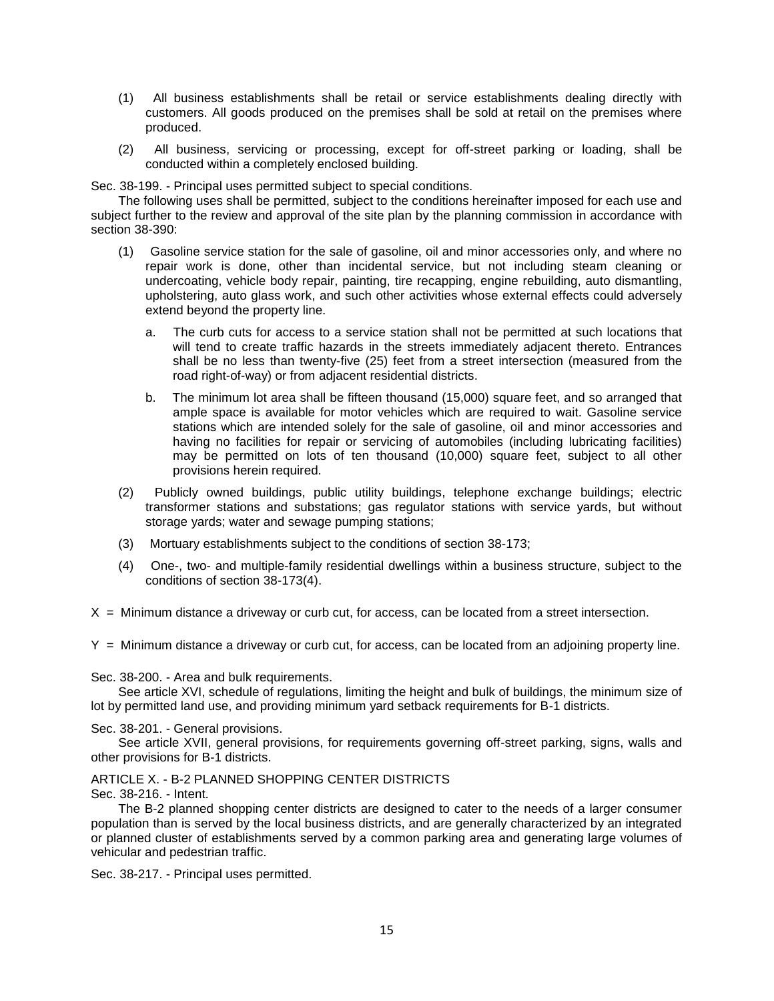- (1) All business establishments shall be retail or service establishments dealing directly with customers. All goods produced on the premises shall be sold at retail on the premises where produced.
- (2) All business, servicing or processing, except for off-street parking or loading, shall be conducted within a completely enclosed building.

Sec. 38-199. - Principal uses permitted subject to special conditions.

The following uses shall be permitted, subject to the conditions hereinafter imposed for each use and subject further to the review and approval of the site plan by the planning commission in accordance with section 38-390:

- (1) Gasoline service station for the sale of gasoline, oil and minor accessories only, and where no repair work is done, other than incidental service, but not including steam cleaning or undercoating, vehicle body repair, painting, tire recapping, engine rebuilding, auto dismantling, upholstering, auto glass work, and such other activities whose external effects could adversely extend beyond the property line.
	- a. The curb cuts for access to a service station shall not be permitted at such locations that will tend to create traffic hazards in the streets immediately adjacent thereto. Entrances shall be no less than twenty-five (25) feet from a street intersection (measured from the road right-of-way) or from adjacent residential districts.
	- b. The minimum lot area shall be fifteen thousand (15,000) square feet, and so arranged that ample space is available for motor vehicles which are required to wait. Gasoline service stations which are intended solely for the sale of gasoline, oil and minor accessories and having no facilities for repair or servicing of automobiles (including lubricating facilities) may be permitted on lots of ten thousand (10,000) square feet, subject to all other provisions herein required.
- (2) Publicly owned buildings, public utility buildings, telephone exchange buildings; electric transformer stations and substations; gas regulator stations with service yards, but without storage yards; water and sewage pumping stations;
- (3) Mortuary establishments subject to the conditions of section 38-173;
- (4) One-, two- and multiple-family residential dwellings within a business structure, subject to the conditions of section 38-173(4).

 $X =$  Minimum distance a driveway or curb cut, for access, can be located from a street intersection.

Y = Minimum distance a driveway or curb cut, for access, can be located from an adjoining property line.

Sec. 38-200. - Area and bulk requirements.

See article XVI, schedule of regulations, limiting the height and bulk of buildings, the minimum size of lot by permitted land use, and providing minimum yard setback requirements for B-1 districts.

Sec. 38-201. - General provisions.

See article XVII, general provisions, for requirements governing off-street parking, signs, walls and other provisions for B-1 districts.

## ARTICLE X. - B-2 PLANNED SHOPPING CENTER DISTRICTS

Sec. 38-216. - Intent.

The B-2 planned shopping center districts are designed to cater to the needs of a larger consumer population than is served by the local business districts, and are generally characterized by an integrated or planned cluster of establishments served by a common parking area and generating large volumes of vehicular and pedestrian traffic.

Sec. 38-217. - Principal uses permitted.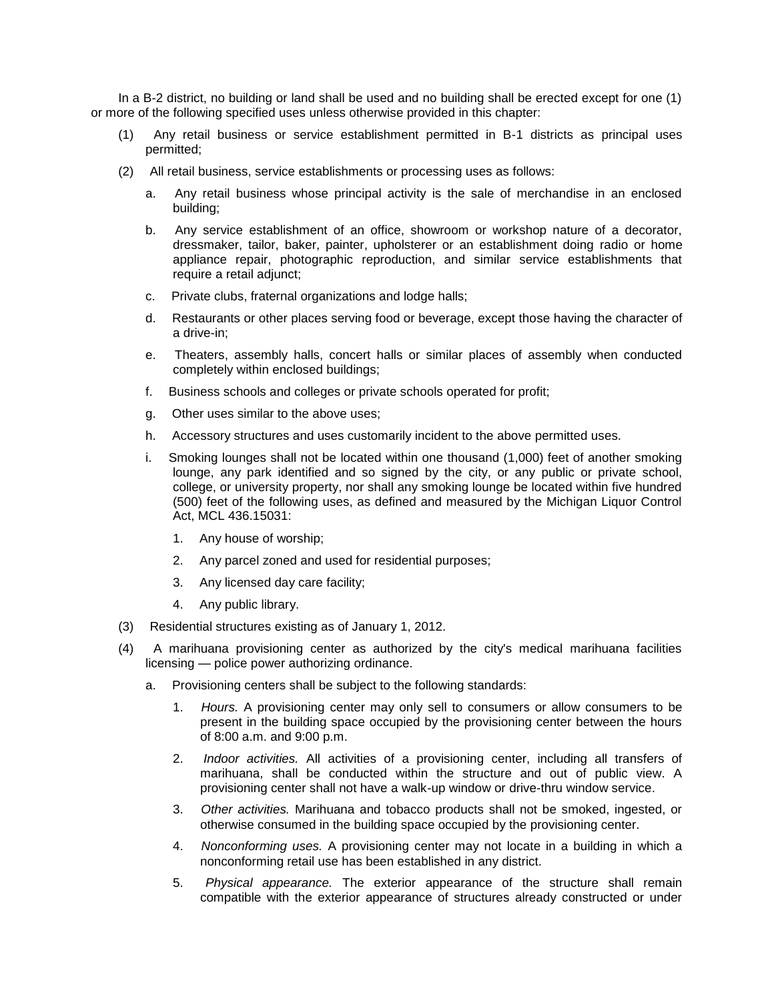In a B-2 district, no building or land shall be used and no building shall be erected except for one (1) or more of the following specified uses unless otherwise provided in this chapter:

- (1) Any retail business or service establishment permitted in B-1 districts as principal uses permitted;
- (2) All retail business, service establishments or processing uses as follows:
	- a. Any retail business whose principal activity is the sale of merchandise in an enclosed building;
	- b. Any service establishment of an office, showroom or workshop nature of a decorator, dressmaker, tailor, baker, painter, upholsterer or an establishment doing radio or home appliance repair, photographic reproduction, and similar service establishments that require a retail adjunct;
	- c. Private clubs, fraternal organizations and lodge halls;
	- d. Restaurants or other places serving food or beverage, except those having the character of a drive-in;
	- e. Theaters, assembly halls, concert halls or similar places of assembly when conducted completely within enclosed buildings;
	- f. Business schools and colleges or private schools operated for profit;
	- g. Other uses similar to the above uses;
	- h. Accessory structures and uses customarily incident to the above permitted uses.
	- i. Smoking lounges shall not be located within one thousand (1,000) feet of another smoking lounge, any park identified and so signed by the city, or any public or private school, college, or university property, nor shall any smoking lounge be located within five hundred (500) feet of the following uses, as defined and measured by the Michigan Liquor Control Act, MCL 436.15031:
		- 1. Any house of worship;
		- 2. Any parcel zoned and used for residential purposes;
		- 3. Any licensed day care facility;
		- 4. Any public library.
- (3) Residential structures existing as of January 1, 2012.
- (4) A marihuana provisioning center as authorized by the city's medical marihuana facilities licensing — police power authorizing ordinance.
	- a. Provisioning centers shall be subject to the following standards:
		- 1. *Hours.* A provisioning center may only sell to consumers or allow consumers to be present in the building space occupied by the provisioning center between the hours of 8:00 a.m. and 9:00 p.m.
		- 2. *Indoor activities.* All activities of a provisioning center, including all transfers of marihuana, shall be conducted within the structure and out of public view. A provisioning center shall not have a walk-up window or drive-thru window service.
		- 3. *Other activities.* Marihuana and tobacco products shall not be smoked, ingested, or otherwise consumed in the building space occupied by the provisioning center.
		- 4. *Nonconforming uses.* A provisioning center may not locate in a building in which a nonconforming retail use has been established in any district.
		- 5. *Physical appearance.* The exterior appearance of the structure shall remain compatible with the exterior appearance of structures already constructed or under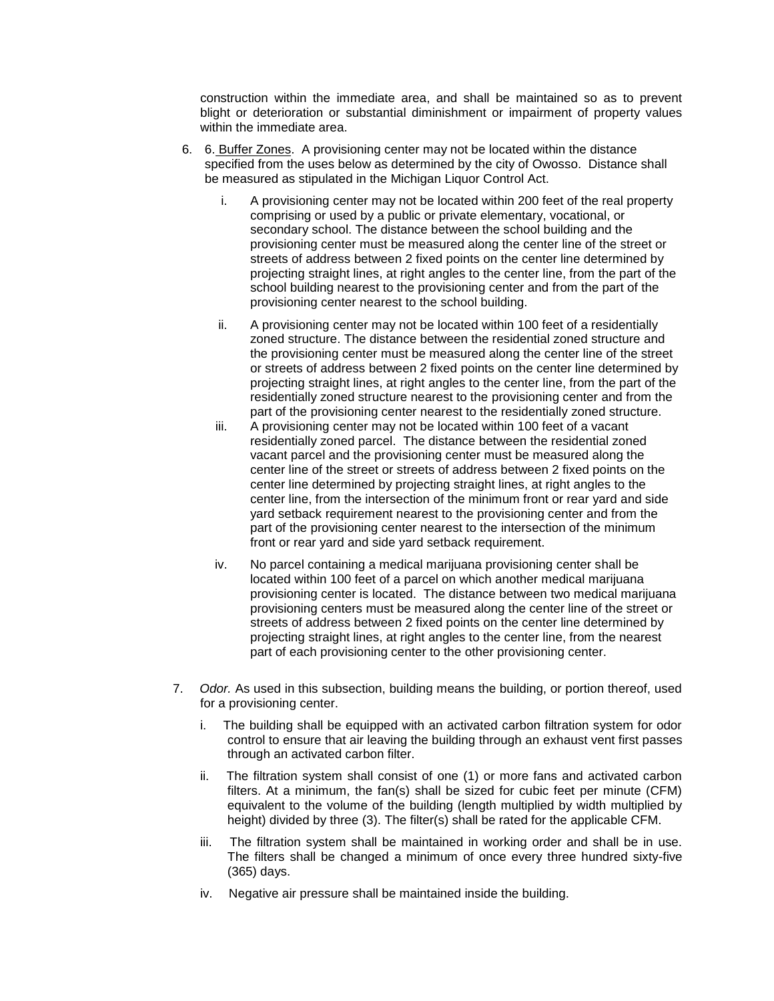construction within the immediate area, and shall be maintained so as to prevent blight or deterioration or substantial diminishment or impairment of property values within the immediate area.

- 6. 6. Buffer Zones. A provisioning center may not be located within the distance specified from the uses below as determined by the city of Owosso. Distance shall be measured as stipulated in the Michigan Liquor Control Act.
	- i. A provisioning center may not be located within 200 feet of the real property comprising or used by a public or private elementary, vocational, or secondary school. The distance between the school building and the provisioning center must be measured along the center line of the street or streets of address between 2 fixed points on the center line determined by projecting straight lines, at right angles to the center line, from the part of the school building nearest to the provisioning center and from the part of the provisioning center nearest to the school building.
	- ii. A provisioning center may not be located within 100 feet of a residentially zoned structure. The distance between the residential zoned structure and the provisioning center must be measured along the center line of the street or streets of address between 2 fixed points on the center line determined by projecting straight lines, at right angles to the center line, from the part of the residentially zoned structure nearest to the provisioning center and from the part of the provisioning center nearest to the residentially zoned structure.
	- iii. A provisioning center may not be located within 100 feet of a vacant residentially zoned parcel. The distance between the residential zoned vacant parcel and the provisioning center must be measured along the center line of the street or streets of address between 2 fixed points on the center line determined by projecting straight lines, at right angles to the center line, from the intersection of the minimum front or rear yard and side yard setback requirement nearest to the provisioning center and from the part of the provisioning center nearest to the intersection of the minimum front or rear yard and side yard setback requirement.
	- iv. No parcel containing a medical marijuana provisioning center shall be located within 100 feet of a parcel on which another medical marijuana provisioning center is located. The distance between two medical marijuana provisioning centers must be measured along the center line of the street or streets of address between 2 fixed points on the center line determined by projecting straight lines, at right angles to the center line, from the nearest part of each provisioning center to the other provisioning center.
- 7. *Odor.* As used in this subsection, building means the building, or portion thereof, used for a provisioning center.
	- i. The building shall be equipped with an activated carbon filtration system for odor control to ensure that air leaving the building through an exhaust vent first passes through an activated carbon filter.
	- ii. The filtration system shall consist of one (1) or more fans and activated carbon filters. At a minimum, the fan(s) shall be sized for cubic feet per minute (CFM) equivalent to the volume of the building (length multiplied by width multiplied by height) divided by three (3). The filter(s) shall be rated for the applicable CFM.
	- iii. The filtration system shall be maintained in working order and shall be in use. The filters shall be changed a minimum of once every three hundred sixty-five (365) days.
	- iv. Negative air pressure shall be maintained inside the building.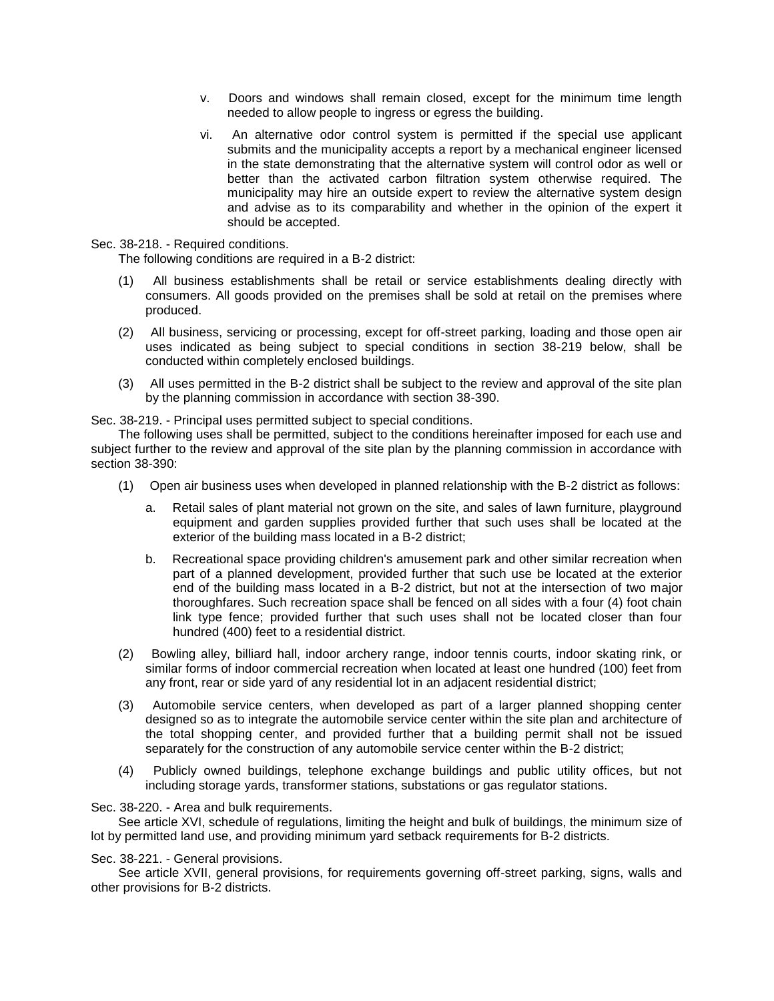- v. Doors and windows shall remain closed, except for the minimum time length needed to allow people to ingress or egress the building.
- vi. An alternative odor control system is permitted if the special use applicant submits and the municipality accepts a report by a mechanical engineer licensed in the state demonstrating that the alternative system will control odor as well or better than the activated carbon filtration system otherwise required. The municipality may hire an outside expert to review the alternative system design and advise as to its comparability and whether in the opinion of the expert it should be accepted.

Sec. 38-218. - Required conditions.

The following conditions are required in a B-2 district:

- (1) All business establishments shall be retail or service establishments dealing directly with consumers. All goods provided on the premises shall be sold at retail on the premises where produced.
- (2) All business, servicing or processing, except for off-street parking, loading and those open air uses indicated as being subject to special conditions in section 38-219 below, shall be conducted within completely enclosed buildings.
- (3) All uses permitted in the B-2 district shall be subject to the review and approval of the site plan by the planning commission in accordance with section 38-390.

Sec. 38-219. - Principal uses permitted subject to special conditions.

The following uses shall be permitted, subject to the conditions hereinafter imposed for each use and subject further to the review and approval of the site plan by the planning commission in accordance with section 38-390:

- (1) Open air business uses when developed in planned relationship with the B-2 district as follows:
	- a. Retail sales of plant material not grown on the site, and sales of lawn furniture, playground equipment and garden supplies provided further that such uses shall be located at the exterior of the building mass located in a B-2 district;
	- b. Recreational space providing children's amusement park and other similar recreation when part of a planned development, provided further that such use be located at the exterior end of the building mass located in a B-2 district, but not at the intersection of two major thoroughfares. Such recreation space shall be fenced on all sides with a four (4) foot chain link type fence; provided further that such uses shall not be located closer than four hundred (400) feet to a residential district.
- (2) Bowling alley, billiard hall, indoor archery range, indoor tennis courts, indoor skating rink, or similar forms of indoor commercial recreation when located at least one hundred (100) feet from any front, rear or side yard of any residential lot in an adjacent residential district;
- (3) Automobile service centers, when developed as part of a larger planned shopping center designed so as to integrate the automobile service center within the site plan and architecture of the total shopping center, and provided further that a building permit shall not be issued separately for the construction of any automobile service center within the B-2 district;
- (4) Publicly owned buildings, telephone exchange buildings and public utility offices, but not including storage yards, transformer stations, substations or gas regulator stations.

Sec. 38-220. - Area and bulk requirements.

See article XVI, schedule of regulations, limiting the height and bulk of buildings, the minimum size of lot by permitted land use, and providing minimum yard setback requirements for B-2 districts.

Sec. 38-221. - General provisions.

See article XVII, general provisions, for requirements governing off-street parking, signs, walls and other provisions for B-2 districts.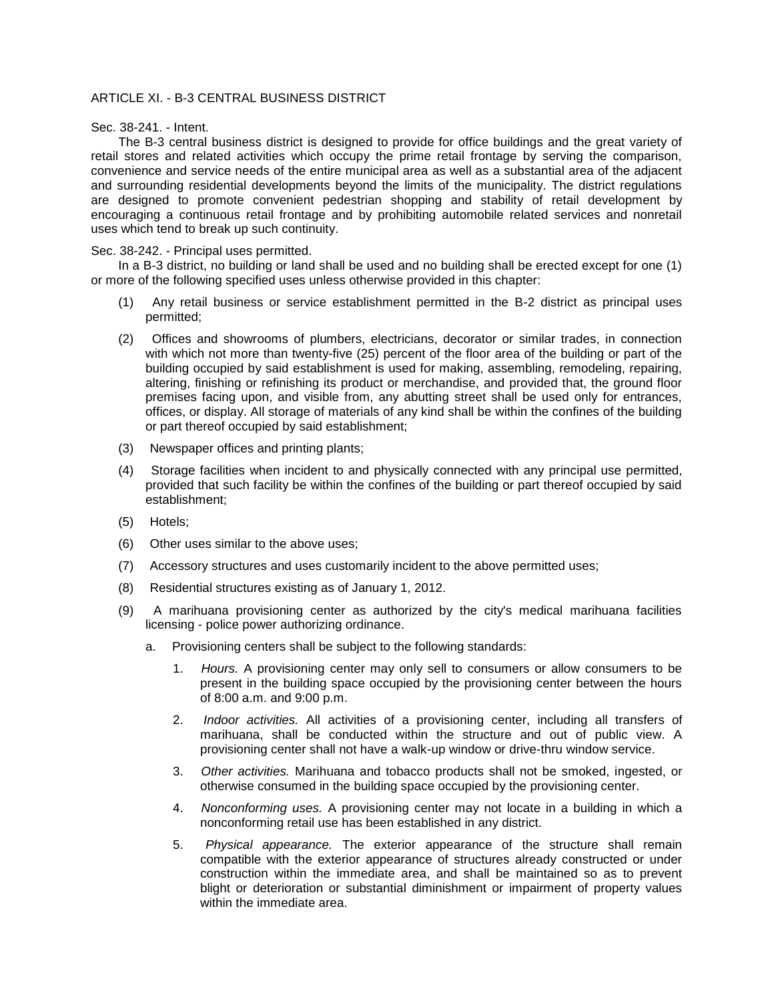## ARTICLE XI. - B-3 CENTRAL BUSINESS DISTRICT

## Sec. 38-241. - Intent.

The B-3 central business district is designed to provide for office buildings and the great variety of retail stores and related activities which occupy the prime retail frontage by serving the comparison, convenience and service needs of the entire municipal area as well as a substantial area of the adjacent and surrounding residential developments beyond the limits of the municipality. The district regulations are designed to promote convenient pedestrian shopping and stability of retail development by encouraging a continuous retail frontage and by prohibiting automobile related services and nonretail uses which tend to break up such continuity.

## Sec. 38-242. - Principal uses permitted.

In a B-3 district, no building or land shall be used and no building shall be erected except for one (1) or more of the following specified uses unless otherwise provided in this chapter:

- (1) Any retail business or service establishment permitted in the B-2 district as principal uses permitted;
- (2) Offices and showrooms of plumbers, electricians, decorator or similar trades, in connection with which not more than twenty-five (25) percent of the floor area of the building or part of the building occupied by said establishment is used for making, assembling, remodeling, repairing, altering, finishing or refinishing its product or merchandise, and provided that, the ground floor premises facing upon, and visible from, any abutting street shall be used only for entrances, offices, or display. All storage of materials of any kind shall be within the confines of the building or part thereof occupied by said establishment;
- (3) Newspaper offices and printing plants;
- (4) Storage facilities when incident to and physically connected with any principal use permitted, provided that such facility be within the confines of the building or part thereof occupied by said establishment;
- (5) Hotels;
- (6) Other uses similar to the above uses;
- (7) Accessory structures and uses customarily incident to the above permitted uses;
- (8) Residential structures existing as of January 1, 2012.
- (9) A marihuana provisioning center as authorized by the city's medical marihuana facilities licensing - police power authorizing ordinance.
	- a. Provisioning centers shall be subject to the following standards:
		- 1. *Hours.* A provisioning center may only sell to consumers or allow consumers to be present in the building space occupied by the provisioning center between the hours of 8:00 a.m. and 9:00 p.m.
		- 2. *Indoor activities.* All activities of a provisioning center, including all transfers of marihuana, shall be conducted within the structure and out of public view. A provisioning center shall not have a walk-up window or drive-thru window service.
		- 3. *Other activities.* Marihuana and tobacco products shall not be smoked, ingested, or otherwise consumed in the building space occupied by the provisioning center.
		- 4. *Nonconforming uses.* A provisioning center may not locate in a building in which a nonconforming retail use has been established in any district.
		- 5. *Physical appearance.* The exterior appearance of the structure shall remain compatible with the exterior appearance of structures already constructed or under construction within the immediate area, and shall be maintained so as to prevent blight or deterioration or substantial diminishment or impairment of property values within the immediate area.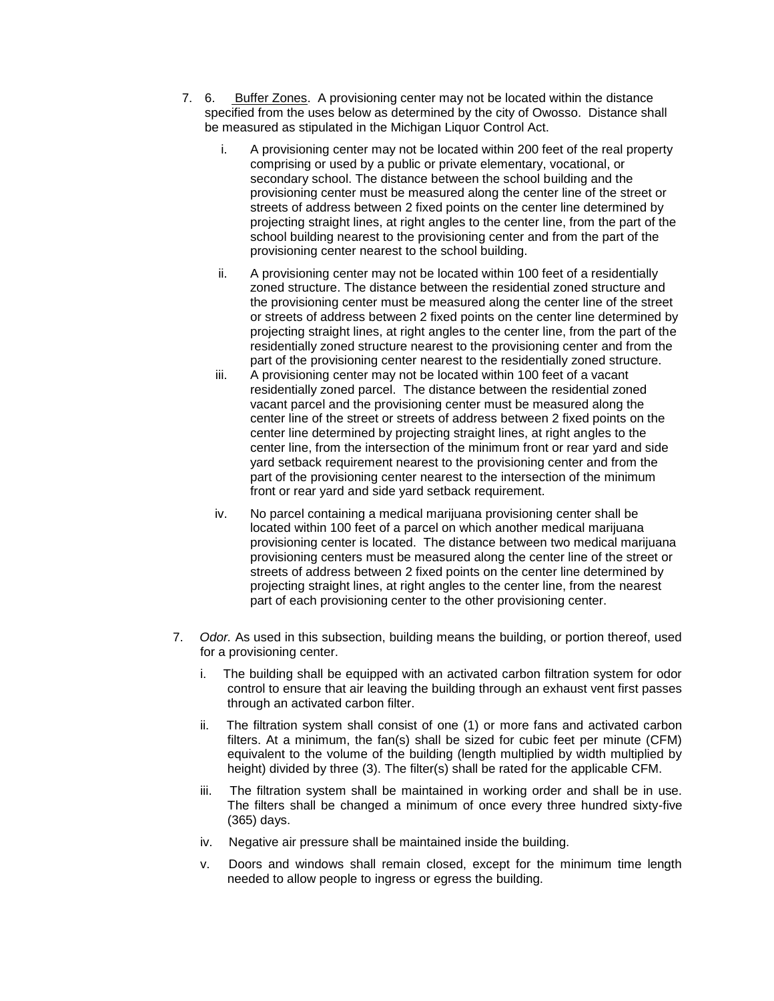- 7. 6. Buffer Zones. A provisioning center may not be located within the distance specified from the uses below as determined by the city of Owosso. Distance shall be measured as stipulated in the Michigan Liquor Control Act.
	- i. A provisioning center may not be located within 200 feet of the real property comprising or used by a public or private elementary, vocational, or secondary school. The distance between the school building and the provisioning center must be measured along the center line of the street or streets of address between 2 fixed points on the center line determined by projecting straight lines, at right angles to the center line, from the part of the school building nearest to the provisioning center and from the part of the provisioning center nearest to the school building.
	- ii. A provisioning center may not be located within 100 feet of a residentially zoned structure. The distance between the residential zoned structure and the provisioning center must be measured along the center line of the street or streets of address between 2 fixed points on the center line determined by projecting straight lines, at right angles to the center line, from the part of the residentially zoned structure nearest to the provisioning center and from the part of the provisioning center nearest to the residentially zoned structure.
	- iii. A provisioning center may not be located within 100 feet of a vacant residentially zoned parcel. The distance between the residential zoned vacant parcel and the provisioning center must be measured along the center line of the street or streets of address between 2 fixed points on the center line determined by projecting straight lines, at right angles to the center line, from the intersection of the minimum front or rear yard and side yard setback requirement nearest to the provisioning center and from the part of the provisioning center nearest to the intersection of the minimum front or rear yard and side yard setback requirement.
	- iv. No parcel containing a medical marijuana provisioning center shall be located within 100 feet of a parcel on which another medical marijuana provisioning center is located. The distance between two medical marijuana provisioning centers must be measured along the center line of the street or streets of address between 2 fixed points on the center line determined by projecting straight lines, at right angles to the center line, from the nearest part of each provisioning center to the other provisioning center.
- 7. *Odor.* As used in this subsection, building means the building, or portion thereof, used for a provisioning center.
	- i. The building shall be equipped with an activated carbon filtration system for odor control to ensure that air leaving the building through an exhaust vent first passes through an activated carbon filter.
	- ii. The filtration system shall consist of one (1) or more fans and activated carbon filters. At a minimum, the fan(s) shall be sized for cubic feet per minute (CFM) equivalent to the volume of the building (length multiplied by width multiplied by height) divided by three (3). The filter(s) shall be rated for the applicable CFM.
	- iii. The filtration system shall be maintained in working order and shall be in use. The filters shall be changed a minimum of once every three hundred sixty-five (365) days.
	- iv. Negative air pressure shall be maintained inside the building.
	- v. Doors and windows shall remain closed, except for the minimum time length needed to allow people to ingress or egress the building.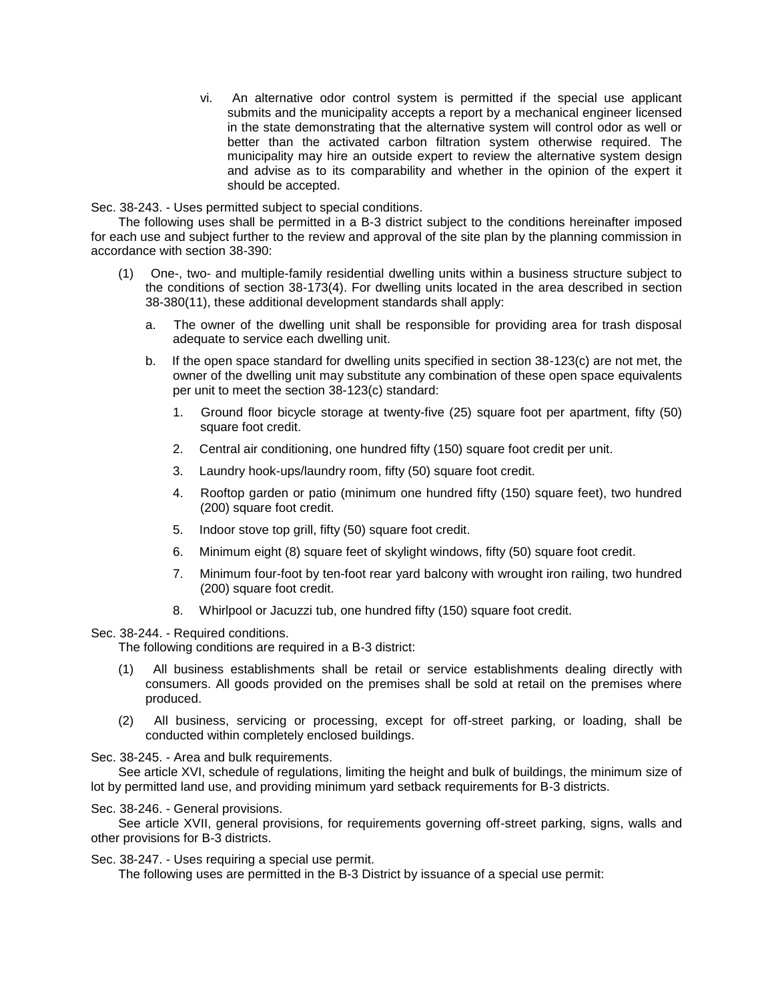vi. An alternative odor control system is permitted if the special use applicant submits and the municipality accepts a report by a mechanical engineer licensed in the state demonstrating that the alternative system will control odor as well or better than the activated carbon filtration system otherwise required. The municipality may hire an outside expert to review the alternative system design and advise as to its comparability and whether in the opinion of the expert it should be accepted.

Sec. 38-243. - Uses permitted subject to special conditions.

The following uses shall be permitted in a B-3 district subject to the conditions hereinafter imposed for each use and subject further to the review and approval of the site plan by the planning commission in accordance with section 38-390:

- (1) One-, two- and multiple-family residential dwelling units within a business structure subject to the conditions of section 38-173(4). For dwelling units located in the area described in section 38-380(11), these additional development standards shall apply:
	- a. The owner of the dwelling unit shall be responsible for providing area for trash disposal adequate to service each dwelling unit.
	- b. If the open space standard for dwelling units specified in section 38-123(c) are not met, the owner of the dwelling unit may substitute any combination of these open space equivalents per unit to meet the section 38-123(c) standard:
		- 1. Ground floor bicycle storage at twenty-five (25) square foot per apartment, fifty (50) square foot credit.
		- 2. Central air conditioning, one hundred fifty (150) square foot credit per unit.
		- 3. Laundry hook-ups/laundry room, fifty (50) square foot credit.
		- 4. Rooftop garden or patio (minimum one hundred fifty (150) square feet), two hundred (200) square foot credit.
		- 5. Indoor stove top grill, fifty (50) square foot credit.
		- 6. Minimum eight (8) square feet of skylight windows, fifty (50) square foot credit.
		- 7. Minimum four-foot by ten-foot rear yard balcony with wrought iron railing, two hundred (200) square foot credit.
		- 8. Whirlpool or Jacuzzi tub, one hundred fifty (150) square foot credit.

## Sec. 38-244. - Required conditions.

The following conditions are required in a B-3 district:

- (1) All business establishments shall be retail or service establishments dealing directly with consumers. All goods provided on the premises shall be sold at retail on the premises where produced.
- (2) All business, servicing or processing, except for off-street parking, or loading, shall be conducted within completely enclosed buildings.

Sec. 38-245. - Area and bulk requirements.

See article XVI, schedule of regulations, limiting the height and bulk of buildings, the minimum size of lot by permitted land use, and providing minimum yard setback requirements for B-3 districts.

## Sec. 38-246. - General provisions.

See article XVII, general provisions, for requirements governing off-street parking, signs, walls and other provisions for B-3 districts.

Sec. 38-247. - Uses requiring a special use permit.

The following uses are permitted in the B-3 District by issuance of a special use permit: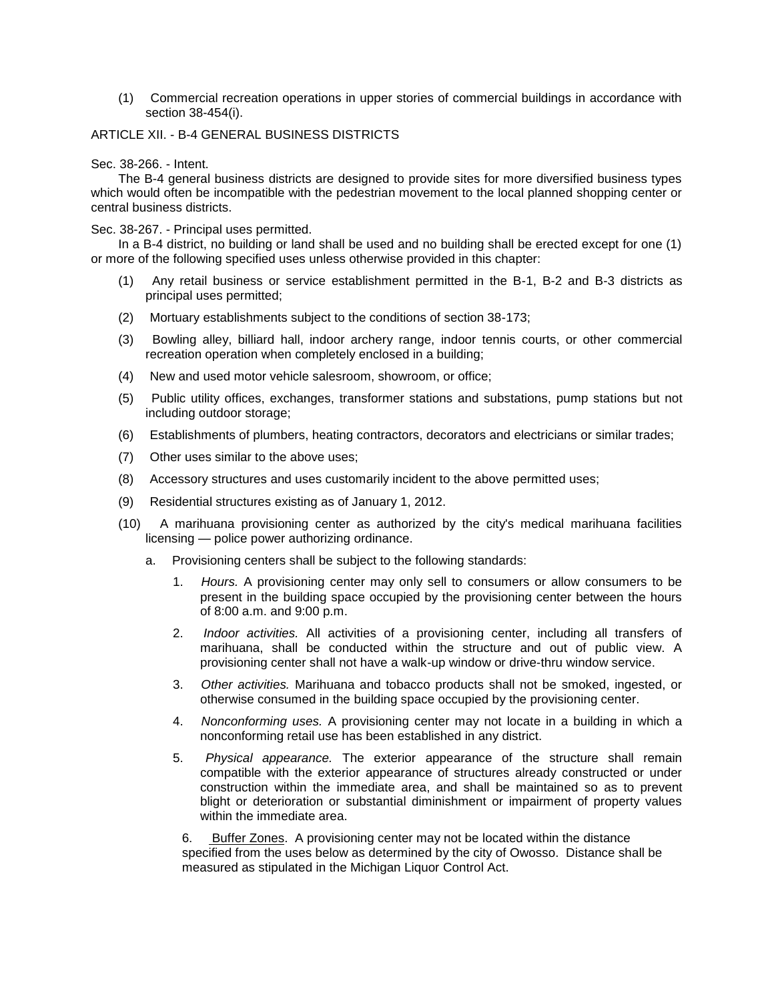(1) Commercial recreation operations in upper stories of commercial buildings in accordance with section 38-454(i).

## ARTICLE XII. - B-4 GENERAL BUSINESS DISTRICTS

### Sec. 38-266. - Intent.

The B-4 general business districts are designed to provide sites for more diversified business types which would often be incompatible with the pedestrian movement to the local planned shopping center or central business districts.

## Sec. 38-267. - Principal uses permitted.

In a B-4 district, no building or land shall be used and no building shall be erected except for one (1) or more of the following specified uses unless otherwise provided in this chapter:

- (1) Any retail business or service establishment permitted in the B-1, B-2 and B-3 districts as principal uses permitted;
- (2) Mortuary establishments subject to the conditions of section 38-173;
- (3) Bowling alley, billiard hall, indoor archery range, indoor tennis courts, or other commercial recreation operation when completely enclosed in a building;
- (4) New and used motor vehicle salesroom, showroom, or office;
- (5) Public utility offices, exchanges, transformer stations and substations, pump stations but not including outdoor storage;
- (6) Establishments of plumbers, heating contractors, decorators and electricians or similar trades;
- (7) Other uses similar to the above uses;
- (8) Accessory structures and uses customarily incident to the above permitted uses;
- (9) Residential structures existing as of January 1, 2012.
- (10) A marihuana provisioning center as authorized by the city's medical marihuana facilities licensing — police power authorizing ordinance.
	- a. Provisioning centers shall be subject to the following standards:
		- 1. *Hours.* A provisioning center may only sell to consumers or allow consumers to be present in the building space occupied by the provisioning center between the hours of 8:00 a.m. and 9:00 p.m.
		- 2. *Indoor activities.* All activities of a provisioning center, including all transfers of marihuana, shall be conducted within the structure and out of public view. A provisioning center shall not have a walk-up window or drive-thru window service.
		- 3. *Other activities.* Marihuana and tobacco products shall not be smoked, ingested, or otherwise consumed in the building space occupied by the provisioning center.
		- 4. *Nonconforming uses.* A provisioning center may not locate in a building in which a nonconforming retail use has been established in any district.
		- 5. *Physical appearance.* The exterior appearance of the structure shall remain compatible with the exterior appearance of structures already constructed or under construction within the immediate area, and shall be maintained so as to prevent blight or deterioration or substantial diminishment or impairment of property values within the immediate area.

6. Buffer Zones. A provisioning center may not be located within the distance specified from the uses below as determined by the city of Owosso. Distance shall be measured as stipulated in the Michigan Liquor Control Act.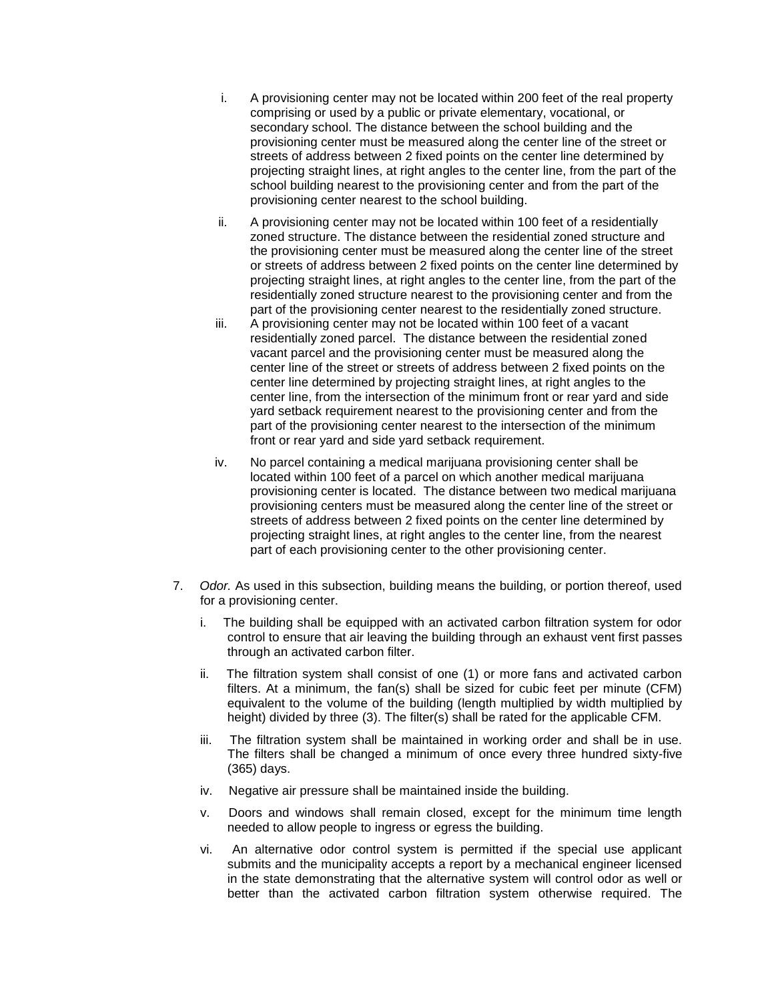- i. A provisioning center may not be located within 200 feet of the real property comprising or used by a public or private elementary, vocational, or secondary school. The distance between the school building and the provisioning center must be measured along the center line of the street or streets of address between 2 fixed points on the center line determined by projecting straight lines, at right angles to the center line, from the part of the school building nearest to the provisioning center and from the part of the provisioning center nearest to the school building.
- ii. A provisioning center may not be located within 100 feet of a residentially zoned structure. The distance between the residential zoned structure and the provisioning center must be measured along the center line of the street or streets of address between 2 fixed points on the center line determined by projecting straight lines, at right angles to the center line, from the part of the residentially zoned structure nearest to the provisioning center and from the part of the provisioning center nearest to the residentially zoned structure.
- iii. A provisioning center may not be located within 100 feet of a vacant residentially zoned parcel. The distance between the residential zoned vacant parcel and the provisioning center must be measured along the center line of the street or streets of address between 2 fixed points on the center line determined by projecting straight lines, at right angles to the center line, from the intersection of the minimum front or rear yard and side yard setback requirement nearest to the provisioning center and from the part of the provisioning center nearest to the intersection of the minimum front or rear yard and side yard setback requirement.
- iv. No parcel containing a medical marijuana provisioning center shall be located within 100 feet of a parcel on which another medical marijuana provisioning center is located. The distance between two medical marijuana provisioning centers must be measured along the center line of the street or streets of address between 2 fixed points on the center line determined by projecting straight lines, at right angles to the center line, from the nearest part of each provisioning center to the other provisioning center.
- 7. *Odor.* As used in this subsection, building means the building, or portion thereof, used for a provisioning center.
	- i. The building shall be equipped with an activated carbon filtration system for odor control to ensure that air leaving the building through an exhaust vent first passes through an activated carbon filter.
	- ii. The filtration system shall consist of one (1) or more fans and activated carbon filters. At a minimum, the fan(s) shall be sized for cubic feet per minute (CFM) equivalent to the volume of the building (length multiplied by width multiplied by height) divided by three (3). The filter(s) shall be rated for the applicable CFM.
	- iii. The filtration system shall be maintained in working order and shall be in use. The filters shall be changed a minimum of once every three hundred sixty-five (365) days.
	- iv. Negative air pressure shall be maintained inside the building.
	- v. Doors and windows shall remain closed, except for the minimum time length needed to allow people to ingress or egress the building.
	- vi. An alternative odor control system is permitted if the special use applicant submits and the municipality accepts a report by a mechanical engineer licensed in the state demonstrating that the alternative system will control odor as well or better than the activated carbon filtration system otherwise required. The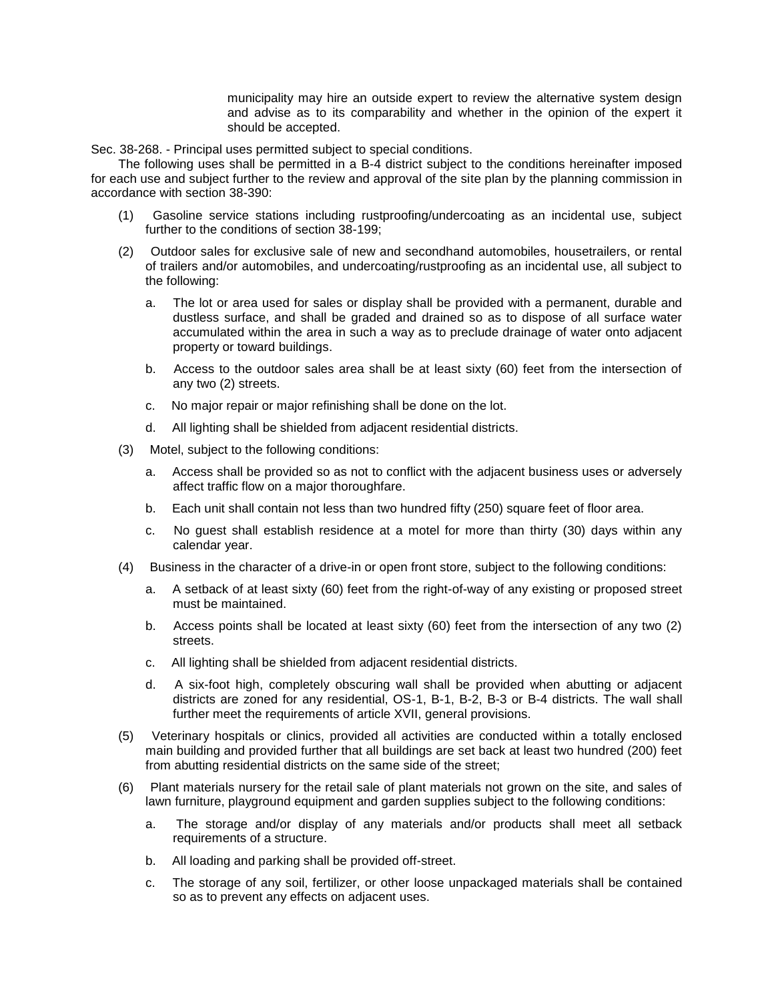municipality may hire an outside expert to review the alternative system design and advise as to its comparability and whether in the opinion of the expert it should be accepted.

Sec. 38-268. - Principal uses permitted subject to special conditions.

The following uses shall be permitted in a B-4 district subject to the conditions hereinafter imposed for each use and subject further to the review and approval of the site plan by the planning commission in accordance with section 38-390:

- (1) Gasoline service stations including rustproofing/undercoating as an incidental use, subject further to the conditions of section 38-199;
- (2) Outdoor sales for exclusive sale of new and secondhand automobiles, housetrailers, or rental of trailers and/or automobiles, and undercoating/rustproofing as an incidental use, all subject to the following:
	- a. The lot or area used for sales or display shall be provided with a permanent, durable and dustless surface, and shall be graded and drained so as to dispose of all surface water accumulated within the area in such a way as to preclude drainage of water onto adjacent property or toward buildings.
	- b. Access to the outdoor sales area shall be at least sixty (60) feet from the intersection of any two (2) streets.
	- c. No major repair or major refinishing shall be done on the lot.
	- d. All lighting shall be shielded from adjacent residential districts.
- (3) Motel, subject to the following conditions:
	- a. Access shall be provided so as not to conflict with the adjacent business uses or adversely affect traffic flow on a major thoroughfare.
	- b. Each unit shall contain not less than two hundred fifty (250) square feet of floor area.
	- c. No guest shall establish residence at a motel for more than thirty (30) days within any calendar year.
- (4) Business in the character of a drive-in or open front store, subject to the following conditions:
	- a. A setback of at least sixty (60) feet from the right-of-way of any existing or proposed street must be maintained.
	- b. Access points shall be located at least sixty (60) feet from the intersection of any two (2) streets.
	- c. All lighting shall be shielded from adjacent residential districts.
	- d. A six-foot high, completely obscuring wall shall be provided when abutting or adjacent districts are zoned for any residential, OS-1, B-1, B-2, B-3 or B-4 districts. The wall shall further meet the requirements of article XVII, general provisions.
- (5) Veterinary hospitals or clinics, provided all activities are conducted within a totally enclosed main building and provided further that all buildings are set back at least two hundred (200) feet from abutting residential districts on the same side of the street;
- (6) Plant materials nursery for the retail sale of plant materials not grown on the site, and sales of lawn furniture, playground equipment and garden supplies subject to the following conditions:
	- a. The storage and/or display of any materials and/or products shall meet all setback requirements of a structure.
	- b. All loading and parking shall be provided off-street.
	- c. The storage of any soil, fertilizer, or other loose unpackaged materials shall be contained so as to prevent any effects on adjacent uses.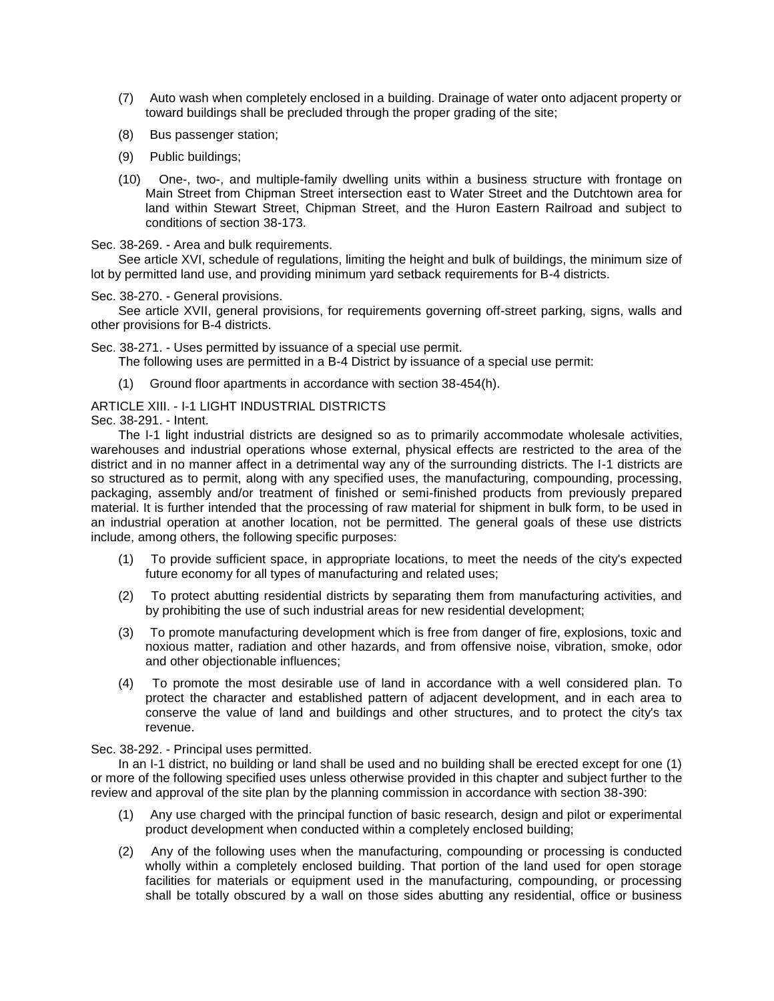- (7) Auto wash when completely enclosed in a building. Drainage of water onto adjacent property or toward buildings shall be precluded through the proper grading of the site;
- (8) Bus passenger station;
- (9) Public buildings;
- (10) One-, two-, and multiple-family dwelling units within a business structure with frontage on Main Street from Chipman Street intersection east to Water Street and the Dutchtown area for land within Stewart Street, Chipman Street, and the Huron Eastern Railroad and subject to conditions of section 38-173.

Sec. 38-269. - Area and bulk requirements.

See article XVI, schedule of regulations, limiting the height and bulk of buildings, the minimum size of lot by permitted land use, and providing minimum yard setback requirements for B-4 districts.

Sec. 38-270. - General provisions.

See article XVII, general provisions, for requirements governing off-street parking, signs, walls and other provisions for B-4 districts.

Sec. 38-271. - Uses permitted by issuance of a special use permit.

The following uses are permitted in a B-4 District by issuance of a special use permit:

(1) Ground floor apartments in accordance with section 38-454(h).

# ARTICLE XIII. - I-1 LIGHT INDUSTRIAL DISTRICTS

Sec. 38-291. - Intent.

The I-1 light industrial districts are designed so as to primarily accommodate wholesale activities, warehouses and industrial operations whose external, physical effects are restricted to the area of the district and in no manner affect in a detrimental way any of the surrounding districts. The I-1 districts are so structured as to permit, along with any specified uses, the manufacturing, compounding, processing, packaging, assembly and/or treatment of finished or semi-finished products from previously prepared material. It is further intended that the processing of raw material for shipment in bulk form, to be used in an industrial operation at another location, not be permitted. The general goals of these use districts include, among others, the following specific purposes:

- (1) To provide sufficient space, in appropriate locations, to meet the needs of the city's expected future economy for all types of manufacturing and related uses;
- (2) To protect abutting residential districts by separating them from manufacturing activities, and by prohibiting the use of such industrial areas for new residential development;
- (3) To promote manufacturing development which is free from danger of fire, explosions, toxic and noxious matter, radiation and other hazards, and from offensive noise, vibration, smoke, odor and other objectionable influences;
- (4) To promote the most desirable use of land in accordance with a well considered plan. To protect the character and established pattern of adjacent development, and in each area to conserve the value of land and buildings and other structures, and to protect the city's tax revenue.

### Sec. 38-292. - Principal uses permitted.

In an I-1 district, no building or land shall be used and no building shall be erected except for one (1) or more of the following specified uses unless otherwise provided in this chapter and subject further to the review and approval of the site plan by the planning commission in accordance with section 38-390:

- (1) Any use charged with the principal function of basic research, design and pilot or experimental product development when conducted within a completely enclosed building;
- (2) Any of the following uses when the manufacturing, compounding or processing is conducted wholly within a completely enclosed building. That portion of the land used for open storage facilities for materials or equipment used in the manufacturing, compounding, or processing shall be totally obscured by a wall on those sides abutting any residential, office or business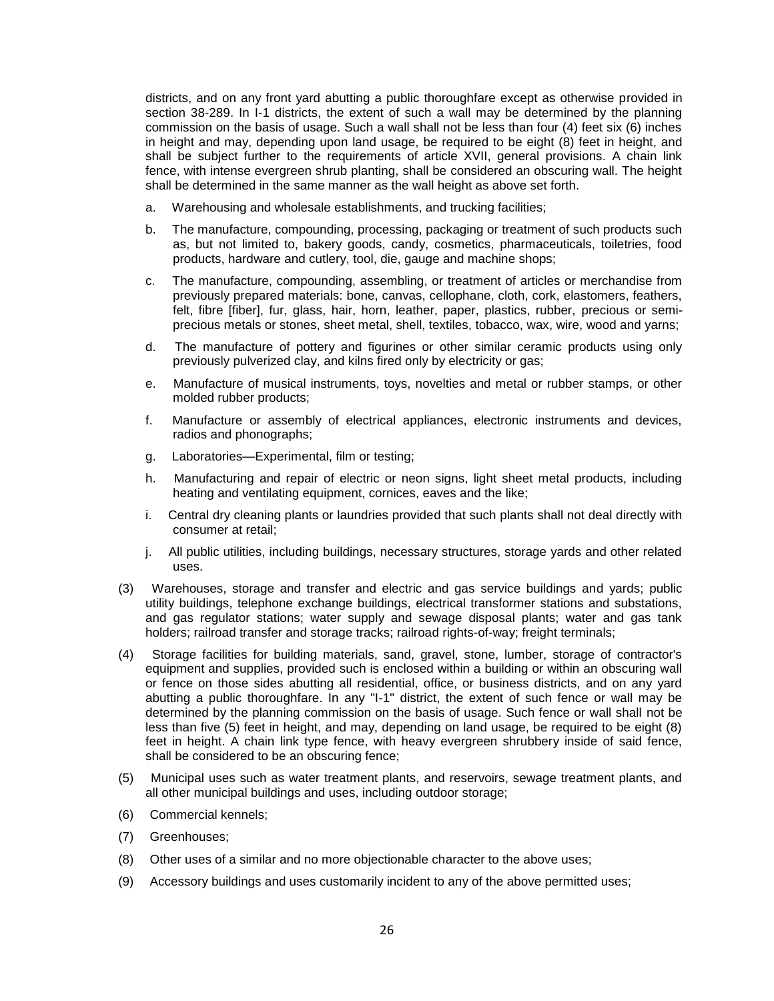districts, and on any front yard abutting a public thoroughfare except as otherwise provided in section 38-289. In I-1 districts, the extent of such a wall may be determined by the planning commission on the basis of usage. Such a wall shall not be less than four (4) feet six (6) inches in height and may, depending upon land usage, be required to be eight (8) feet in height, and shall be subject further to the requirements of article XVII, general provisions. A chain link fence, with intense evergreen shrub planting, shall be considered an obscuring wall. The height shall be determined in the same manner as the wall height as above set forth.

- a. Warehousing and wholesale establishments, and trucking facilities;
- b. The manufacture, compounding, processing, packaging or treatment of such products such as, but not limited to, bakery goods, candy, cosmetics, pharmaceuticals, toiletries, food products, hardware and cutlery, tool, die, gauge and machine shops;
- c. The manufacture, compounding, assembling, or treatment of articles or merchandise from previously prepared materials: bone, canvas, cellophane, cloth, cork, elastomers, feathers, felt, fibre [fiber], fur, glass, hair, horn, leather, paper, plastics, rubber, precious or semiprecious metals or stones, sheet metal, shell, textiles, tobacco, wax, wire, wood and yarns;
- d. The manufacture of pottery and figurines or other similar ceramic products using only previously pulverized clay, and kilns fired only by electricity or gas;
- e. Manufacture of musical instruments, toys, novelties and metal or rubber stamps, or other molded rubber products;
- f. Manufacture or assembly of electrical appliances, electronic instruments and devices, radios and phonographs;
- g. Laboratories—Experimental, film or testing;
- h. Manufacturing and repair of electric or neon signs, light sheet metal products, including heating and ventilating equipment, cornices, eaves and the like;
- i. Central dry cleaning plants or laundries provided that such plants shall not deal directly with consumer at retail;
- j. All public utilities, including buildings, necessary structures, storage yards and other related uses.
- (3) Warehouses, storage and transfer and electric and gas service buildings and yards; public utility buildings, telephone exchange buildings, electrical transformer stations and substations, and gas regulator stations; water supply and sewage disposal plants; water and gas tank holders; railroad transfer and storage tracks; railroad rights-of-way; freight terminals;
- (4) Storage facilities for building materials, sand, gravel, stone, lumber, storage of contractor's equipment and supplies, provided such is enclosed within a building or within an obscuring wall or fence on those sides abutting all residential, office, or business districts, and on any yard abutting a public thoroughfare. In any "I-1" district, the extent of such fence or wall may be determined by the planning commission on the basis of usage. Such fence or wall shall not be less than five (5) feet in height, and may, depending on land usage, be required to be eight (8) feet in height. A chain link type fence, with heavy evergreen shrubbery inside of said fence, shall be considered to be an obscuring fence;
- (5) Municipal uses such as water treatment plants, and reservoirs, sewage treatment plants, and all other municipal buildings and uses, including outdoor storage;
- (6) Commercial kennels;
- (7) Greenhouses;
- (8) Other uses of a similar and no more objectionable character to the above uses;
- (9) Accessory buildings and uses customarily incident to any of the above permitted uses;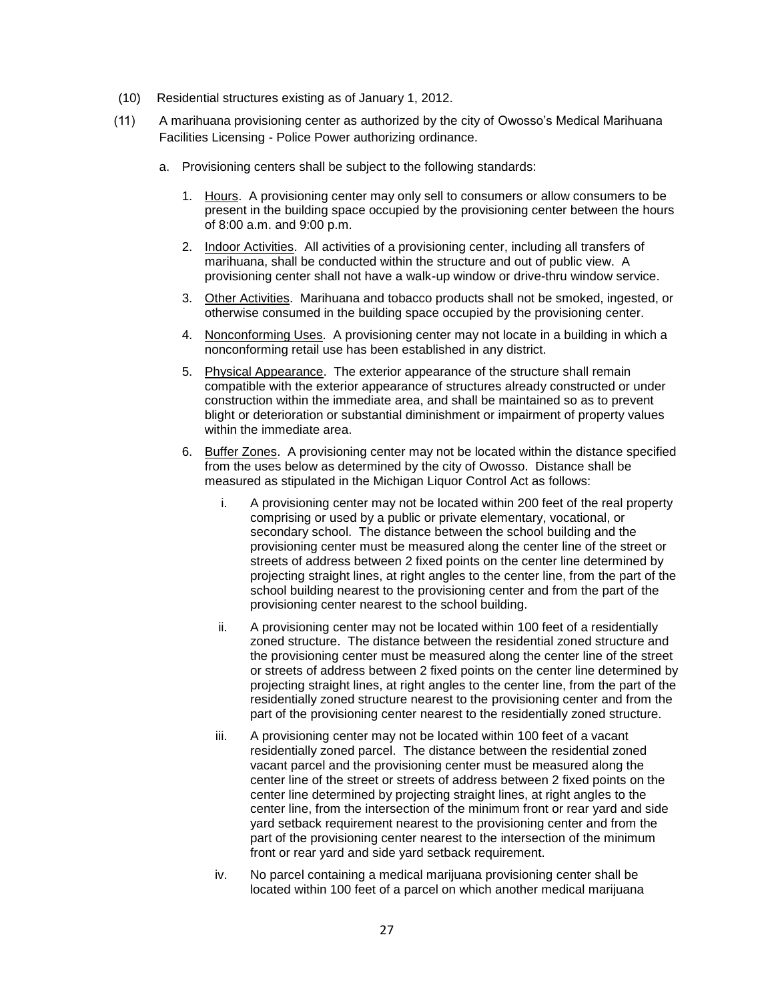- (10) Residential structures existing as of January 1, 2012.
- (11) A marihuana provisioning center as authorized by the city of Owosso's Medical Marihuana Facilities Licensing - Police Power authorizing ordinance.
	- a. Provisioning centers shall be subject to the following standards:
		- 1. Hours. A provisioning center may only sell to consumers or allow consumers to be present in the building space occupied by the provisioning center between the hours of 8:00 a.m. and 9:00 p.m.
		- 2. Indoor Activities. All activities of a provisioning center, including all transfers of marihuana, shall be conducted within the structure and out of public view. A provisioning center shall not have a walk-up window or drive-thru window service.
		- 3. Other Activities. Marihuana and tobacco products shall not be smoked, ingested, or otherwise consumed in the building space occupied by the provisioning center.
		- 4. Nonconforming Uses. A provisioning center may not locate in a building in which a nonconforming retail use has been established in any district.
		- 5. Physical Appearance. The exterior appearance of the structure shall remain compatible with the exterior appearance of structures already constructed or under construction within the immediate area, and shall be maintained so as to prevent blight or deterioration or substantial diminishment or impairment of property values within the immediate area.
		- 6. Buffer Zones. A provisioning center may not be located within the distance specified from the uses below as determined by the city of Owosso. Distance shall be measured as stipulated in the Michigan Liquor Control Act as follows:
			- i. A provisioning center may not be located within 200 feet of the real property comprising or used by a public or private elementary, vocational, or secondary school. The distance between the school building and the provisioning center must be measured along the center line of the street or streets of address between 2 fixed points on the center line determined by projecting straight lines, at right angles to the center line, from the part of the school building nearest to the provisioning center and from the part of the provisioning center nearest to the school building.
			- ii. A provisioning center may not be located within 100 feet of a residentially zoned structure. The distance between the residential zoned structure and the provisioning center must be measured along the center line of the street or streets of address between 2 fixed points on the center line determined by projecting straight lines, at right angles to the center line, from the part of the residentially zoned structure nearest to the provisioning center and from the part of the provisioning center nearest to the residentially zoned structure.
			- iii. A provisioning center may not be located within 100 feet of a vacant residentially zoned parcel. The distance between the residential zoned vacant parcel and the provisioning center must be measured along the center line of the street or streets of address between 2 fixed points on the center line determined by projecting straight lines, at right angles to the center line, from the intersection of the minimum front or rear yard and side yard setback requirement nearest to the provisioning center and from the part of the provisioning center nearest to the intersection of the minimum front or rear yard and side yard setback requirement.
			- iv. No parcel containing a medical marijuana provisioning center shall be located within 100 feet of a parcel on which another medical marijuana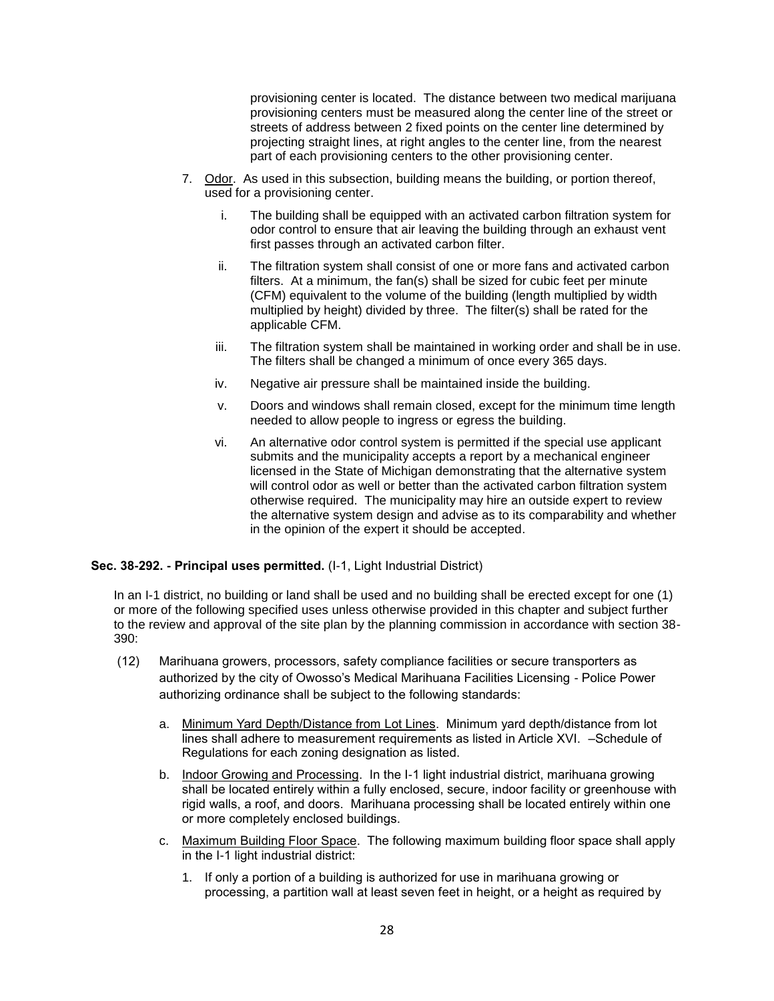provisioning center is located. The distance between two medical marijuana provisioning centers must be measured along the center line of the street or streets of address between 2 fixed points on the center line determined by projecting straight lines, at right angles to the center line, from the nearest part of each provisioning centers to the other provisioning center.

- 7. Odor. As used in this subsection, building means the building, or portion thereof, used for a provisioning center.
	- i. The building shall be equipped with an activated carbon filtration system for odor control to ensure that air leaving the building through an exhaust vent first passes through an activated carbon filter.
	- ii. The filtration system shall consist of one or more fans and activated carbon filters. At a minimum, the fan(s) shall be sized for cubic feet per minute (CFM) equivalent to the volume of the building (length multiplied by width multiplied by height) divided by three. The filter(s) shall be rated for the applicable CFM.
	- iii. The filtration system shall be maintained in working order and shall be in use. The filters shall be changed a minimum of once every 365 days.
	- iv. Negative air pressure shall be maintained inside the building.
	- v. Doors and windows shall remain closed, except for the minimum time length needed to allow people to ingress or egress the building.
	- vi. An alternative odor control system is permitted if the special use applicant submits and the municipality accepts a report by a mechanical engineer licensed in the State of Michigan demonstrating that the alternative system will control odor as well or better than the activated carbon filtration system otherwise required. The municipality may hire an outside expert to review the alternative system design and advise as to its comparability and whether in the opinion of the expert it should be accepted.

## **Sec. 38-292. - Principal uses permitted.** (I-1, Light Industrial District)

In an I-1 district, no building or land shall be used and no building shall be erected except for one (1) or more of the following specified uses unless otherwise provided in this chapter and subject further to the review and approval of the site plan by the planning commission in accordance with section 38- 390:

- (12) Marihuana growers, processors, safety compliance facilities or secure transporters as authorized by the city of Owosso's Medical Marihuana Facilities Licensing - Police Power authorizing ordinance shall be subject to the following standards:
	- a. Minimum Yard Depth/Distance from Lot Lines. Minimum yard depth/distance from lot lines shall adhere to measurement requirements as listed in Article XVI. –Schedule of Regulations for each zoning designation as listed.
	- b. Indoor Growing and Processing. In the I-1 light industrial district, marihuana growing shall be located entirely within a fully enclosed, secure, indoor facility or greenhouse with rigid walls, a roof, and doors. Marihuana processing shall be located entirely within one or more completely enclosed buildings.
	- c. Maximum Building Floor Space. The following maximum building floor space shall apply in the I-1 light industrial district:
		- 1. If only a portion of a building is authorized for use in marihuana growing or processing, a partition wall at least seven feet in height, or a height as required by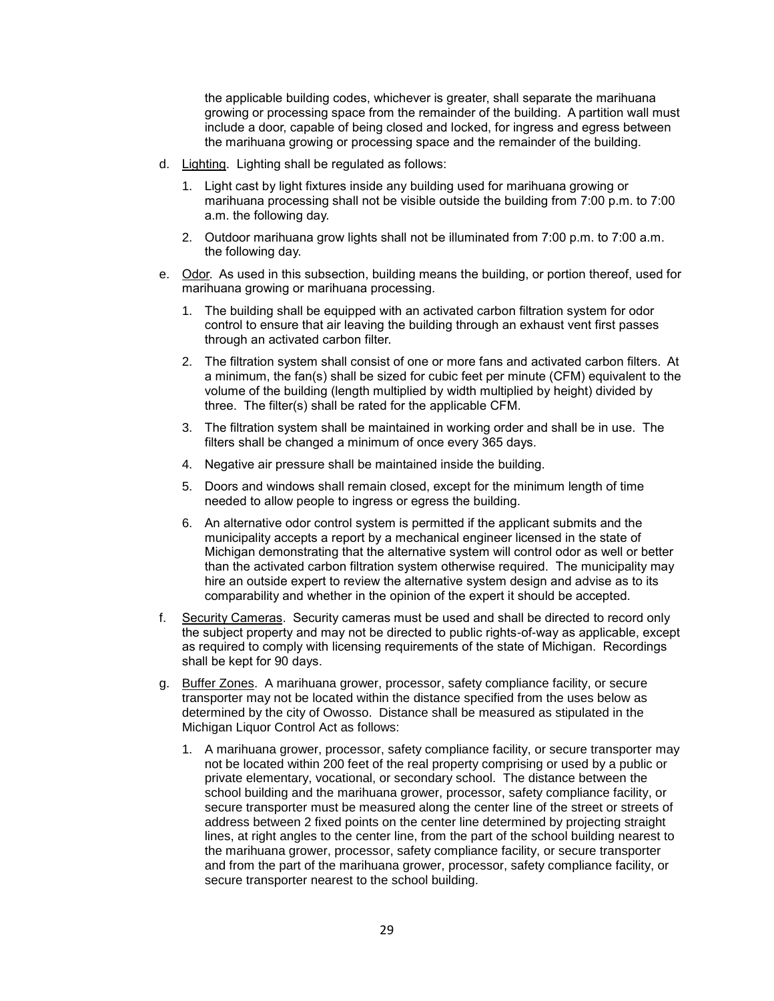the applicable building codes, whichever is greater, shall separate the marihuana growing or processing space from the remainder of the building. A partition wall must include a door, capable of being closed and locked, for ingress and egress between the marihuana growing or processing space and the remainder of the building.

- d. Lighting. Lighting shall be regulated as follows:
	- 1. Light cast by light fixtures inside any building used for marihuana growing or marihuana processing shall not be visible outside the building from 7:00 p.m. to 7:00 a.m. the following day.
	- 2. Outdoor marihuana grow lights shall not be illuminated from 7:00 p.m. to 7:00 a.m. the following day.
- e. Odor. As used in this subsection, building means the building, or portion thereof, used for marihuana growing or marihuana processing.
	- 1. The building shall be equipped with an activated carbon filtration system for odor control to ensure that air leaving the building through an exhaust vent first passes through an activated carbon filter.
	- 2. The filtration system shall consist of one or more fans and activated carbon filters. At a minimum, the fan(s) shall be sized for cubic feet per minute (CFM) equivalent to the volume of the building (length multiplied by width multiplied by height) divided by three. The filter(s) shall be rated for the applicable CFM.
	- 3. The filtration system shall be maintained in working order and shall be in use. The filters shall be changed a minimum of once every 365 days.
	- 4. Negative air pressure shall be maintained inside the building.
	- 5. Doors and windows shall remain closed, except for the minimum length of time needed to allow people to ingress or egress the building.
	- 6. An alternative odor control system is permitted if the applicant submits and the municipality accepts a report by a mechanical engineer licensed in the state of Michigan demonstrating that the alternative system will control odor as well or better than the activated carbon filtration system otherwise required. The municipality may hire an outside expert to review the alternative system design and advise as to its comparability and whether in the opinion of the expert it should be accepted.
- f. Security Cameras. Security cameras must be used and shall be directed to record only the subject property and may not be directed to public rights-of-way as applicable, except as required to comply with licensing requirements of the state of Michigan. Recordings shall be kept for 90 days.
- g. Buffer Zones. A marihuana grower, processor, safety compliance facility, or secure transporter may not be located within the distance specified from the uses below as determined by the city of Owosso. Distance shall be measured as stipulated in the Michigan Liquor Control Act as follows:
	- 1. A marihuana grower, processor, safety compliance facility, or secure transporter may not be located within 200 feet of the real property comprising or used by a public or private elementary, vocational, or secondary school. The distance between the school building and the marihuana grower, processor, safety compliance facility, or secure transporter must be measured along the center line of the street or streets of address between 2 fixed points on the center line determined by projecting straight lines, at right angles to the center line, from the part of the school building nearest to the marihuana grower, processor, safety compliance facility, or secure transporter and from the part of the marihuana grower, processor, safety compliance facility, or secure transporter nearest to the school building.